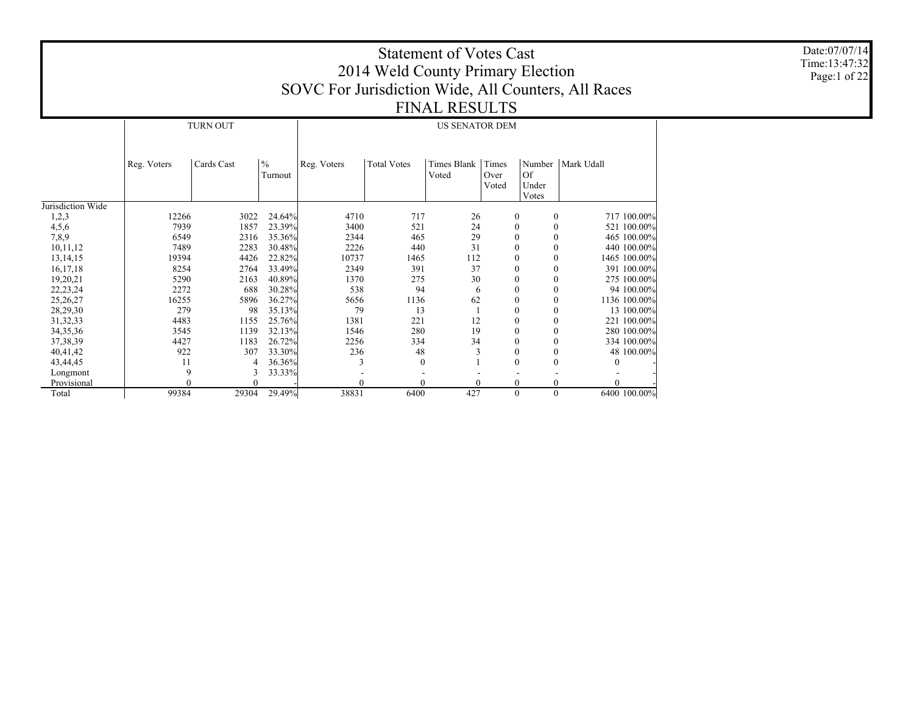|                   |             |                             |        |                                                     | 2014 Weld County Primary Election | <b>Statement of Votes Cast</b> |          |              |              |              | Date:07/07/14<br>Time:13:47:32<br>Page:1 of 22 |
|-------------------|-------------|-----------------------------|--------|-----------------------------------------------------|-----------------------------------|--------------------------------|----------|--------------|--------------|--------------|------------------------------------------------|
|                   |             |                             |        | SOVC For Jurisdiction Wide, All Counters, All Races |                                   |                                |          |              |              |              |                                                |
|                   |             |                             |        |                                                     |                                   |                                |          |              |              |              |                                                |
|                   |             |                             |        |                                                     |                                   | <b>FINAL RESULTS</b>           |          |              |              |              |                                                |
|                   |             | <b>TURN OUT</b>             |        |                                                     |                                   | <b>US SENATOR DEM</b>          |          |              |              |              |                                                |
|                   |             |                             |        |                                                     |                                   |                                |          |              |              |              |                                                |
|                   |             |                             |        |                                                     |                                   |                                |          |              |              |              |                                                |
|                   | Reg. Voters | $\frac{0}{6}$<br>Cards Cast |        |                                                     |                                   |                                |          |              |              |              |                                                |
| Jurisdiction Wide |             |                             |        |                                                     |                                   |                                |          |              |              |              |                                                |
| 1,2,3             | 12266       | 3022                        | 24.64% | 4710                                                | 717                               | 26                             |          | $\mathbf{0}$ | $\mathbf{0}$ | 717 100.00%  |                                                |
| 4,5,6             | 7939        | 1857                        | 23.39% | 3400                                                | 521                               | 24                             |          |              | $\mathbf{0}$ | 521 100.00%  |                                                |
| 7,8,9             | 6549        | 2316                        | 35.36% | 2344                                                | 465                               | 29                             |          |              | $\theta$     | 465 100.00%  |                                                |
| 10,11,12          | 7489        | 2283                        | 30.48% | 2226                                                | 440                               | 31                             |          |              | $\theta$     | 440 100.00%  |                                                |
| 13, 14, 15        | 19394       | 4426                        | 22.82% | 10737                                               | 1465                              | 112                            |          |              | $\mathbf{0}$ | 1465 100.00% |                                                |
| 16,17,18          | 8254        | 2764                        | 33.49% | 2349                                                | 391                               | 37                             |          |              | $\mathbf{0}$ | 391 100.00%  |                                                |
| 19,20,21          | 5290        | 2163                        | 40.89% | 1370                                                | 275                               | 30                             |          |              | $\mathbf{0}$ | 275 100.00%  |                                                |
| 22, 23, 24        | 2272        | 688                         | 30.28% | 538                                                 | 94                                |                                |          |              | $\theta$     | 94 100.00%   |                                                |
| 25, 26, 27        | 16255       | 5896                        | 36.27% | 5656                                                | 1136                              | 62                             |          |              | $\mathbf{0}$ | 1136 100.00% |                                                |
| 28,29,30          | 279         | 98                          | 35.13% | 79                                                  | 13                                |                                |          |              | $\theta$     | 13 100.00%   |                                                |
| 31, 32, 33        | 4483        | 1155                        | 25.76% | 1381                                                | 221                               | 12                             |          |              | $\mathbf{0}$ | 221 100.00%  |                                                |
| 34, 35, 36        | 3545        | 1139                        | 32.13% | 1546                                                | 280                               | 19                             |          |              | $\mathbf{0}$ | 280 100.00%  |                                                |
| 37, 38, 39        | 4427        | 1183                        | 26.72% | 2256                                                | 334                               | 34                             |          |              | $\theta$     | 334 100.00%  |                                                |
| 40,41,42          | 922         | 307                         | 33.30% | 236                                                 | 48                                |                                |          | $\Omega$     | $\theta$     | 48 100.00%   |                                                |
| 43,44,45          | 11          |                             | 36.36% |                                                     | $\Omega$                          |                                |          | $\Omega$     | $\theta$     | $\Omega$     |                                                |
| Longmont          | Q           |                             | 33.33% |                                                     |                                   |                                |          |              |              |              |                                                |
| Provisional       |             |                             |        |                                                     |                                   |                                | $\Omega$ | $\Omega$     | $\theta$     | $\Omega$     |                                                |
| Total             | 99384       | 29304                       | 29.49% | 38831                                               | 6400                              | 427                            |          | $\theta$     | $\theta$     | 6400 100.00% |                                                |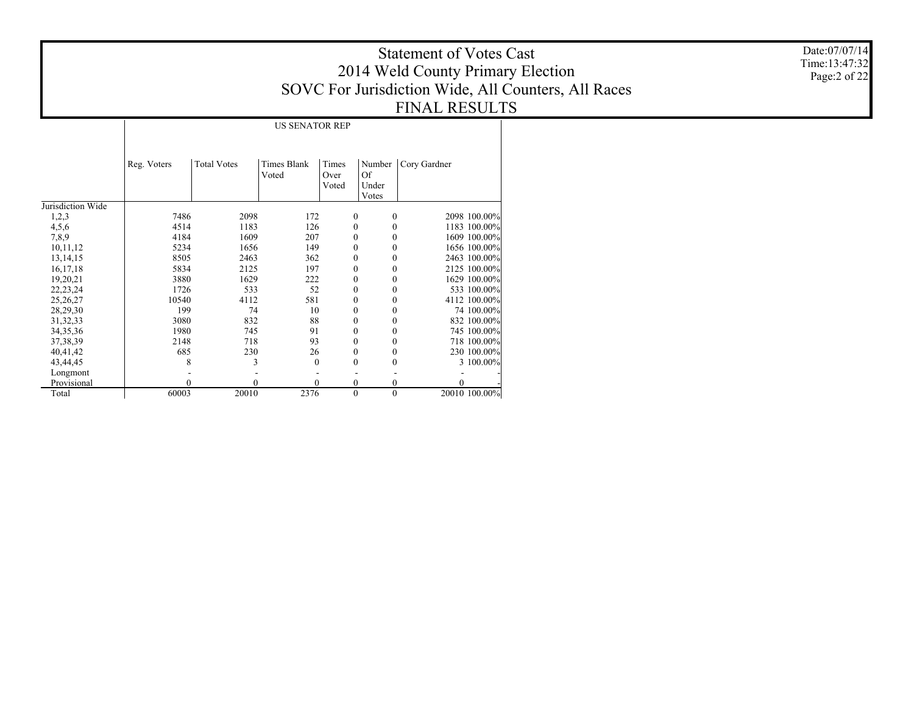Date:07/07/14 Time:13:47:32 Page:2 of 22

US SENATOR REP

|                   | Reg. Voters | <b>Total Votes</b> | Times Blank | Times        | Number       | Cory Gardner  |
|-------------------|-------------|--------------------|-------------|--------------|--------------|---------------|
|                   |             |                    | Voted       | Over         | Of           |               |
|                   |             |                    |             | Voted        | Under        |               |
|                   |             |                    |             |              | Votes        |               |
| Jurisdiction Wide |             |                    |             |              |              |               |
| 1,2,3             | 7486        | 2098               | 172         | 0            | 0            | 2098 100.00%  |
| 4,5,6             | 4514        | 1183               | 126         | 0            | 0            | 1183 100.00%  |
| 7,8,9             | 4184        | 1609               | 207         | $\theta$     | 0            | 1609 100.00%  |
| 10,11,12          | 5234        | 1656               | 149         | 0            | 0            | 1656 100.00%  |
| 13, 14, 15        | 8505        | 2463               | 362         | 0            | 0            | 2463 100.00%  |
| 16, 17, 18        | 5834        | 2125               | 197         | 0            | 0            | 2125 100.00%  |
| 19,20,21          | 3880        | 1629               | 222         | $\theta$     | 0            | 1629 100.00%  |
| 22, 23, 24        | 1726        | 533                | 52          | $\theta$     | 0            | 533 100.00%   |
| 25, 26, 27        | 10540       | 4112               | 581         | 0            | 0            | 4112 100.00%  |
| 28,29,30          | 199         | 74                 | 10          | $\theta$     |              | 74 100.00%    |
| 31, 32, 33        | 3080        | 832                | 88          | $\mathbf{0}$ | 0            | 832 100.00%   |
| 34, 35, 36        | 1980        | 745                | 91          | $\theta$     | 0            | 745 100.00%   |
| 37, 38, 39        | 2148        | 718                | 93          | 0            | 0            | 718 100.00%   |
| 40,41,42          | 685         | 230                | 26          | 0            |              | 230 100.00%   |
| 43,44,45          | 8           | 3                  | 0           | $\theta$     | 0            | 3 100.00%     |
| Longmont          |             |                    |             |              |              |               |
| Provisional       | 0           | $\theta$           | $\theta$    | 0            | 0            | 0             |
| Total             | 60003       | 20010              | 2376        | $\mathbf{0}$ | $\mathbf{0}$ | 20010 100.00% |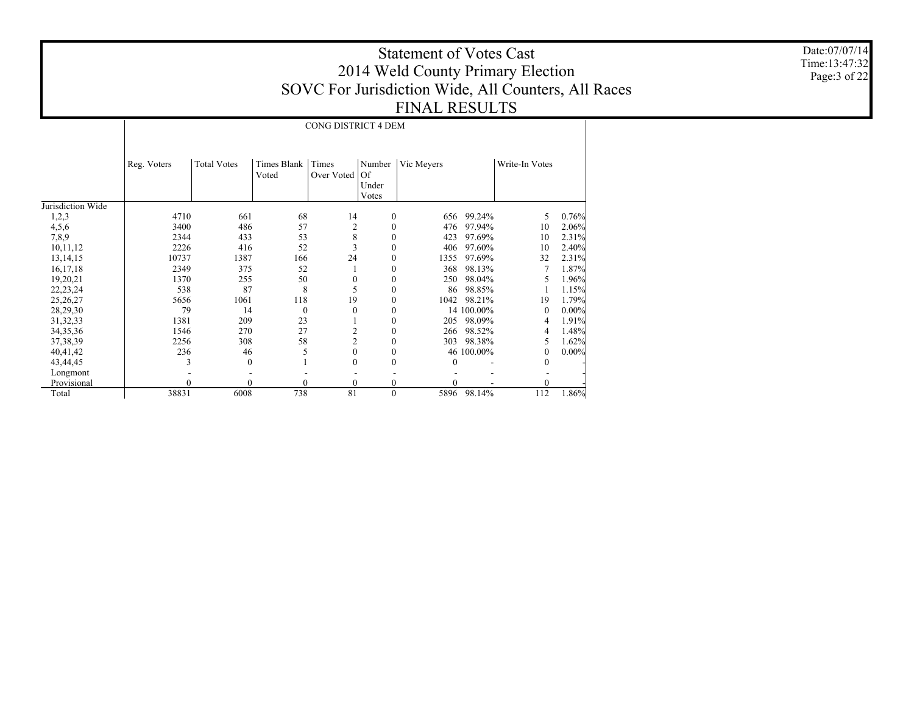Date:07/07/14 Time:13:47:32 Page:3 of 22

|                   |             |                    |                      | CONG DISTRICT 4 DEM |                                       |            |            |                |          |
|-------------------|-------------|--------------------|----------------------|---------------------|---------------------------------------|------------|------------|----------------|----------|
|                   | Reg. Voters | <b>Total Votes</b> | Times Blank<br>Voted | Times<br>Over Voted | Number<br><b>Of</b><br>Under<br>Votes | Vic Meyers |            | Write-In Votes |          |
| Jurisdiction Wide |             |                    |                      |                     |                                       |            |            |                |          |
| 1,2,3             | 4710        | 661                | 68                   | 14                  | $\mathbf{0}$                          | 656        | 99.24%     | 5              | 0.76%    |
| 4,5,6             | 3400        | 486                | 57                   | $\overline{c}$      | $\theta$                              | 476        | 97.94%     | 10             | 2.06%    |
| 7,8,9             | 2344        | 433                | 53                   | 8                   | $\theta$                              | 423        | 97.69%     | 10             | 2.31%    |
| 10,11,12          | 2226        | 416                | 52                   | 3                   | $\Omega$                              | 406        | 97.60%     | 10             | 2.40%    |
| 13, 14, 15        | 10737       | 1387               | 166                  | 24                  | $\theta$                              | 1355       | 97.69%     | 32             | 2.31%    |
| 16, 17, 18        | 2349        | 375                | 52                   |                     | $\bf{0}$                              | 368        | 98.13%     | 7              | 1.87%    |
| 19,20,21          | 1370        | 255                | 50                   | 0                   | $\theta$                              | 250        | 98.04%     | 5              | 1.96%    |
| 22, 23, 24        | 538         | 87                 | 8                    | 5                   | $\theta$                              | 86         | 98.85%     |                | 1.15%    |
| 25, 26, 27        | 5656        | 1061               | 118                  | 19                  | $\Omega$                              | 1042       | 98.21%     | 19             | 1.79%    |
| 28,29,30          | 79          | 14                 | $\Omega$             | $\mathbf{0}$        | $\theta$                              |            | 14 100.00% | $\mathbf{0}$   | $0.00\%$ |
| 31, 32, 33        | 1381        | 209                | 23                   |                     | $\theta$                              | 205        | 98.09%     | 4              | 1.91%    |
| 34, 35, 36        | 1546        | 270                | 27                   | $\overline{c}$      | $\theta$                              | 266        | 98.52%     | 4              | 1.48%    |
| 37, 38, 39        | 2256        | 308                | 58                   | $\overline{c}$      | $\theta$                              | 303        | 98.38%     | 5              | 1.62%    |
| 40,41,42          | 236         | 46                 | 5                    | $\mathbf{0}$        | $\Omega$                              |            | 46 100.00% | 0              | $0.00\%$ |
| 43,44,45          | 3           | $\mathbf{0}$       |                      | $\Omega$            | $\Omega$                              | 0          |            | $\theta$       |          |
| Longmont          |             |                    |                      |                     |                                       |            |            |                |          |
| Provisional       | 0           | $\theta$           | $\theta$             | $\mathbf{0}$        | $\mathbf{0}$                          | 0          |            | 0              |          |
| Total             | 38831       | 6008               | 738                  | 81                  | $\mathbf{0}$                          | 5896       | 98.14%     | 112            | 1.86%    |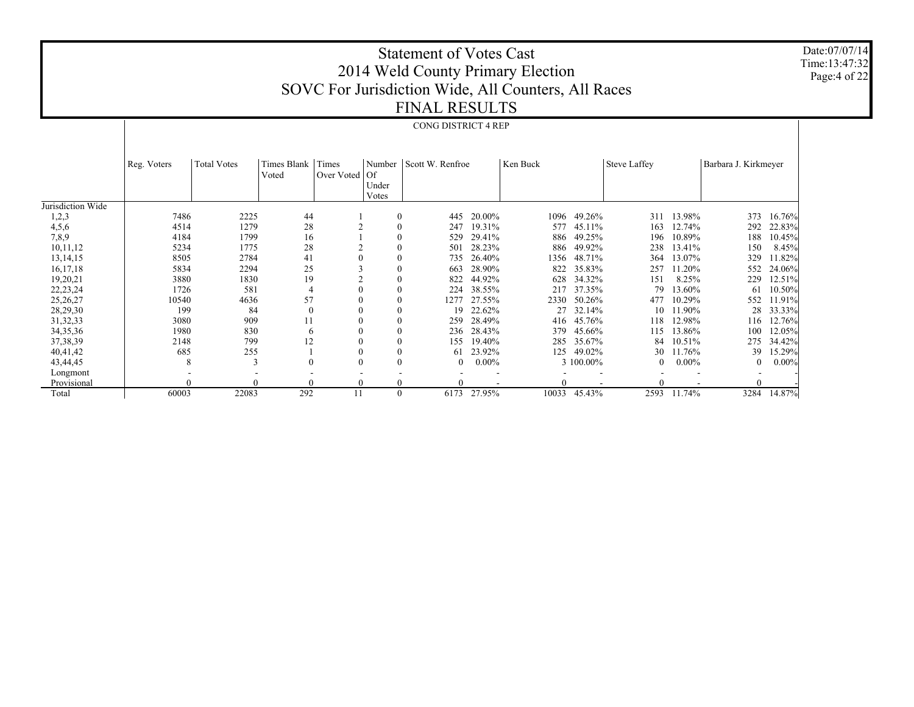Date:07/07/14 Time:13:47:32 Page:4 of 22

# Statement of Votes Cast 2014 Weld County Primary Election SOVC For Jurisdiction Wide, All Counters, All Races FINAL RESULTS

### CONG DISTRICT 4 REP

|                   |             | <b>Total Votes</b> | Times Blank  | Times      | Number       | Scott W. Renfroe |          | Ken Buck |           |                     |          | Barbara J. Kirkmeyer |          |
|-------------------|-------------|--------------------|--------------|------------|--------------|------------------|----------|----------|-----------|---------------------|----------|----------------------|----------|
|                   | Reg. Voters |                    | Voted        | Over Voted | $\vert$ Of   |                  |          |          |           | <b>Steve Laffey</b> |          |                      |          |
|                   |             |                    |              |            | Under        |                  |          |          |           |                     |          |                      |          |
|                   |             |                    |              |            | Votes        |                  |          |          |           |                     |          |                      |          |
| Jurisdiction Wide |             |                    |              |            |              |                  |          |          |           |                     |          |                      |          |
| 1,2,3             | 7486        | 2225               | 44           |            | $\Omega$     | 445              | 20.00%   | 1096     | 49.26%    | 311                 | 13.98%   | 373                  | 16.76%   |
| 4,5,6             | 4514        | 1279               | 28           |            |              | 247              | 19.31%   | 577      | 45.11%    | 163                 | 12.74%   | 292                  | 22.83%   |
| 7,8,9             | 4184        | 1799               | 16           |            |              | 529              | 29.41%   | 886      | 49.25%    | 196                 | 10.89%   | 188                  | 10.45%   |
| 10,11,12          | 5234        | 1775               | 28           |            | $\theta$     | 501              | 28.23%   | 886      | 49.92%    | 238                 | 13.41%   | 150                  | 8.45%    |
| 13, 14, 15        | 8505        | 2784               | 41           |            | $\mathbf{0}$ | 735              | 26.40%   | 1356     | 48.71%    | 364                 | 13.07%   | 329                  | 1.82%    |
| 16,17,18          | 5834        | 2294               | 25           |            | $\mathbf{0}$ | 663              | 28.90%   | 822      | 35.83%    | 257                 | 11.20%   | 552                  | 24.06%   |
| 19,20,21          | 3880        | 1830               | 19           |            | $\theta$     | 822              | 44.92%   | 628      | 34.32%    | 151                 | 8.25%    | 229                  | 12.51%   |
| 22, 23, 24        | 1726        | 581                | 4            |            | $\theta$     | 224              | 38.55%   | 217      | 37.35%    | 79                  | 13.60%   | 61                   | 10.50%   |
| 25,26,27          | 10540       | 4636               | 57           |            | $\theta$     | 1277             | 27.55%   | 2330     | 50.26%    | 477                 | 10.29%   | 552                  | 11.91%   |
| 28,29,30          | 199         | 84                 | $\mathbf{0}$ |            |              | 19               | 22.62%   | 27       | 32.14%    | 10                  | 11.90%   | 28                   | 33.33%   |
| 31, 32, 33        | 3080        | 909                | 11           |            |              | 259              | 28.49%   | 416      | 45.76%    | 118                 | 12.98%   | 116                  | 12.76%   |
| 34, 35, 36        | 1980        | 830                | 6            |            | $\theta$     | 236              | 28.43%   | 379      | 45.66%    | 115                 | 13.86%   | 100                  | 12.05%   |
| 37, 38, 39        | 2148        | 799                | 12           |            | $\theta$     | 155              | 19.40%   | 285      | 35.67%    | 84                  | 10.51%   | 275                  | 34.42%   |
| 40,41,42          | 685         | 255                |              |            | $\mathbf{0}$ | 61               | 23.92%   | 125      | 49.02%    | 30                  | 11.76%   | 39                   | 15.29%   |
| 43,44,45          | 8           | 3                  | $\mathbf{0}$ |            | $\mathbf{0}$ | $\overline{0}$   | $0.00\%$ |          | 3 100.00% | 0                   | $0.00\%$ | $\bf{0}$             | $0.00\%$ |
| Longmont          |             |                    |              |            |              |                  |          |          |           |                     |          |                      |          |
| Provisional       |             |                    | 0            |            |              |                  |          |          |           |                     |          |                      |          |
| Total             | 60003       | 22083              | 292          | 11         | $\mathbf{0}$ | 6173             | 27.95%   | 10033    | 45.43%    | 2593                | 11.74%   | 3284                 | 14.87%   |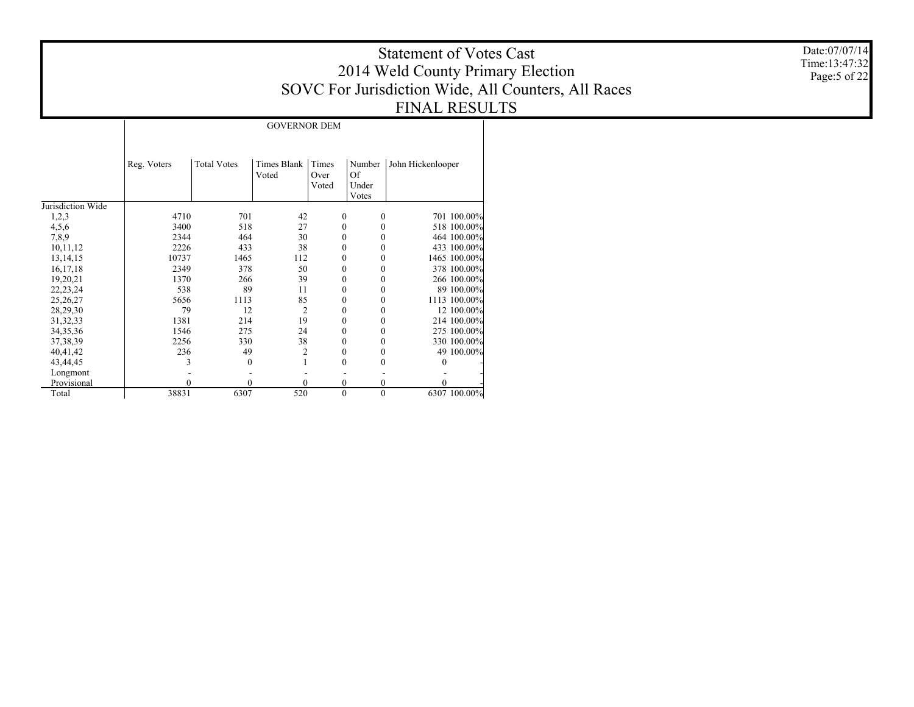Date:07/07/14 Time:13:47:32 Page:5 of 22

GOVERNOR DEM

|                   | Reg. Voters | <b>Total Votes</b> | Times Blank    | Times        | Number       | John Hickenlooper |
|-------------------|-------------|--------------------|----------------|--------------|--------------|-------------------|
|                   |             |                    | Voted          | Over         | Of           |                   |
|                   |             |                    |                | Voted        | Under        |                   |
|                   |             |                    |                |              | Votes        |                   |
| Jurisdiction Wide |             |                    |                |              |              |                   |
| 1,2,3             | 4710        | 701                | 42             | $\theta$     | $\theta$     | 701 100.00%       |
| 4,5,6             | 3400        | 518                | 27             | $\theta$     | $\theta$     | 518 100.00%       |
| 7,8,9             | 2344        | 464                | 30             | 0            | 0            | 464 100.00%       |
| 10,11,12          | 2226        | 433                | 38             | 0            | $\theta$     | 433 100.00%       |
| 13, 14, 15        | 10737       | 1465               | 112            | 0            | 0            | 1465 100.00%      |
| 16, 17, 18        | 2349        | 378                | 50             | 0            | $\theta$     | 378 100.00%       |
| 19,20,21          | 1370        | 266                | 39             | 0            | 0            | 266 100.00%       |
| 22, 23, 24        | 538         | 89                 | 11             | $\theta$     | 0            | 89 100.00%        |
| 25,26,27          | 5656        | 1113               | 85             | $\theta$     | $\theta$     | 1113 100.00%      |
| 28,29,30          | 79          | 12                 | $\overline{2}$ | $\theta$     | 0            | 12 100.00%        |
| 31, 32, 33        | 1381        | 214                | 19             | $\theta$     | 0            | 214 100.00%       |
| 34, 35, 36        | 1546        | 275                | 24             | $\theta$     | 0            | 275 100.00%       |
| 37, 38, 39        | 2256        | 330                | 38             | $\mathbf{0}$ | $\theta$     | 330 100.00%       |
| 40,41,42          | 236         | 49                 | $\overline{2}$ | 0            | 0            | 49 100.00%        |
| 43,44,45          | 3           | 0                  |                | $\theta$     | 0            | $\theta$          |
| Longmont          |             |                    |                |              |              |                   |
| Provisional       | $\theta$    | 0                  | $\mathbf{0}$   | $\mathbf{0}$ | $\theta$     | 0                 |
| Total             | 38831       | 6307               | 520            | $\mathbf{0}$ | $\mathbf{0}$ | 6307 100.00%      |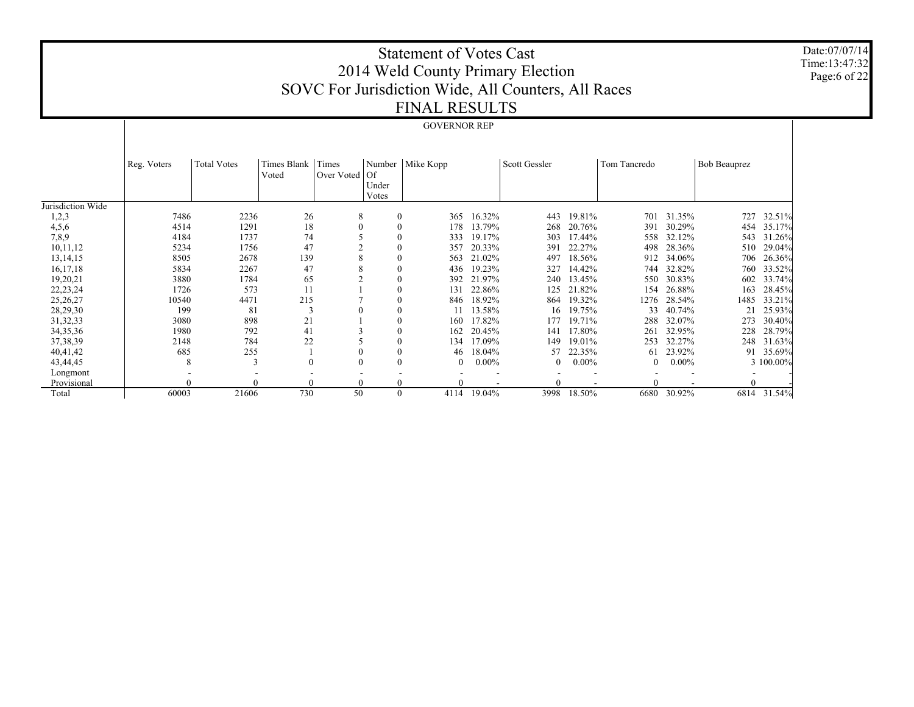Date:07/07/14 Time:13:47:32 Page:6 of 22

# Statement of Votes Cast 2014 Weld County Primary Election SOVC For Jurisdiction Wide, All Counters, All Races FINAL RESULTS

#### GOVERNOR REP

|                   |             |                    | Times Blank | Times      |              |                    |          |                |          |              |          |                     |             |
|-------------------|-------------|--------------------|-------------|------------|--------------|--------------------|----------|----------------|----------|--------------|----------|---------------------|-------------|
|                   | Reg. Voters | <b>Total Votes</b> | Voted       | Over Voted | Of           | Number   Mike Kopp |          | Scott Gessler  |          | Tom Tancredo |          | <b>Bob Beauprez</b> |             |
|                   |             |                    |             |            | Under        |                    |          |                |          |              |          |                     |             |
|                   |             |                    |             |            | Votes        |                    |          |                |          |              |          |                     |             |
| Jurisdiction Wide |             |                    |             |            |              |                    |          |                |          |              |          |                     |             |
| 1,2,3             | 7486        | 2236               | 26          | 8          | $\mathbf{0}$ | 365                | 16.32%   | 443            | 19.81%   | 701          | 31.35%   | 727                 | 32.51%      |
| 4,5,6             | 4514        | 1291               | 18          | $\Omega$   | $\theta$     | 178                | 13.79%   | 268            | 20.76%   | 391          | 30.29%   | 454                 | 35.17%      |
| 7,8,9             | 4184        | 1737               | 74          |            | $\theta$     | 333                | 19.17%   | 303            | 17.44%   | 558          | 32.12%   | 543                 | 31.26%      |
| 10,11,12          | 5234        | 1756               | 47          |            | $\theta$     | 357                | 20.33%   | 391            | 22.27%   | 498          | 28.36%   | 510                 | 29.04%      |
| 13, 14, 15        | 8505        | 2678               | 139         | 8          | $\theta$     | 563                | 21.02%   | 497            | 18.56%   | 912          | 34.06%   | 706                 | 26.36%      |
| 16, 17, 18        | 5834        | 2267               | 47          | 8          | $\theta$     | 436                | 19.23%   | 327            | 14.42%   | 744          | 32.82%   | 760                 | 33.52%      |
| 19,20,21          | 3880        | 1784               | 65          |            | $\theta$     | 392                | 21.97%   | 240            | 13.45%   | 550          | 30.83%   | 602                 | 33.74%      |
| 22, 23, 24        | 1726        | 573                | 11          |            | $\theta$     | 131                | 22.86%   | 125            | 21.82%   | 154          | 26.88%   | 163                 | 28.45%      |
| 25,26,27          | 10540       | 4471               | 215         |            | 0            | 846                | 18.92%   | 864            | 19.32%   | 1276         | 28.54%   | 1485                | 33.21%      |
| 28,29,30          | 199         | 81                 | 3           |            | 0            |                    | 13.58%   | 16             | 19.75%   | 33           | 40.74%   | 21                  | 25.93%      |
| 31, 32, 33        | 3080        | 898                | 21          |            | 0            | 160                | 17.82%   | 177            | 19.71%   | 288          | 32.07%   | 273                 | 30.40%      |
| 34, 35, 36        | 1980        | 792                | 41          |            | $\mathbf{0}$ | 162                | 20.45%   | 141            | 17.80%   | 261          | 32.95%   | 228                 | 28.79%      |
| 37, 38, 39        | 2148        | 784                | 22          |            | $\mathbf{0}$ | 134                | 17.09%   | 149            | 19.01%   | 253          | 32.27%   | 248                 | 31.63%      |
| 40,41,42          | 685         | 255                |             | 0          | $\theta$     | 46                 | 18.04%   | 57             | 22.35%   | 61           | 23.92%   | 91                  | 35.69%      |
| 43,44,45          | 8           | 3                  | $\theta$    | $\Omega$   | $\theta$     | $\Omega$           | $0.00\%$ | $\overline{0}$ | $0.00\%$ | $\theta$     | $0.00\%$ |                     | 3 100.00%   |
| Longmont          |             |                    |             |            |              |                    |          |                |          |              |          |                     |             |
| Provisional       | $\theta$    |                    | $\theta$    | 0          | $\theta$     |                    |          |                |          |              |          |                     |             |
| Total             | 60003       | 21606              | 730         | 50         | $\theta$     | 4114               | 19.04%   | 3998           | 18.50%   | 6680         | 30.92%   |                     | 6814 31.54% |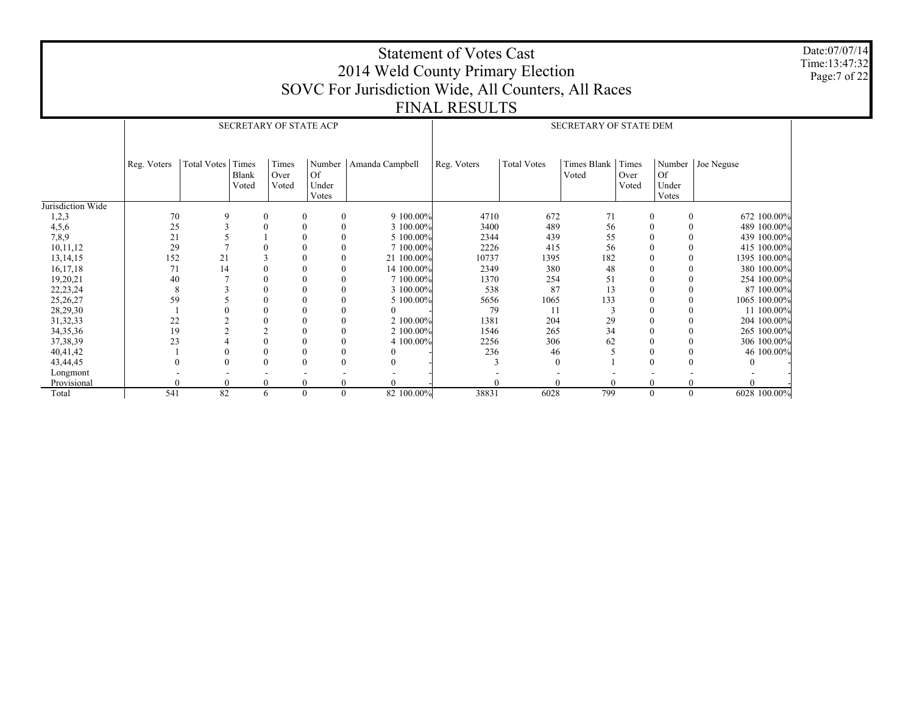Date:07/07/14 Time:13:47:32 Page:7 of 22

## Statement of Votes Cast 2014 Weld County Primary Election SOVC For Jurisdiction Wide, All Counters, All Races FINAL RESULTS

|                   |             |                   |                       |                        | SECRETARY OF STATE ACP                |                 | SECRETARY OF STATE DEM |                    |                        |                        |                             |                     |  |
|-------------------|-------------|-------------------|-----------------------|------------------------|---------------------------------------|-----------------|------------------------|--------------------|------------------------|------------------------|-----------------------------|---------------------|--|
|                   | Reg. Voters | Total Votes Times | <b>Blank</b><br>Voted | Times<br>Over<br>Voted | Number<br><b>Of</b><br>Under<br>Votes | Amanda Campbell | Reg. Voters            | <b>Total Votes</b> | Times Blank  <br>Voted | Times<br>Over<br>Voted | <b>Of</b><br>Under<br>Votes | Number   Joe Neguse |  |
| Jurisdiction Wide |             |                   |                       |                        |                                       |                 |                        |                    |                        |                        |                             |                     |  |
| 1,2,3             | 70          | 9                 | $\boldsymbol{0}$      |                        | $\mathbf{0}$<br>$\mathbf{0}$          | 9 100.00%       | 4710                   | 672                | 71                     | $\boldsymbol{0}$       | $\mathbf{0}$                | 672 100.00%         |  |
| 4,5,6             | 25          |                   | $\Omega$              |                        | $\theta$                              | 3 100,00%       | 3400                   | 489                | 56                     | $\Omega$               |                             | 489 100.00%         |  |
| 7,8,9             | 21          |                   |                       |                        | $\theta$                              | 5 100.00%       | 2344                   | 439                | 55                     | $\mathbf{0}$           |                             | 439 100.00%         |  |
| 10,11,12          | 29          |                   |                       |                        | $\theta$                              | 7 100,00%       | 2226                   | 415                | 56                     | $\Omega$               |                             | 415 100,00%         |  |
| 13,14,15          | 152         | 21                |                       |                        | $\theta$                              | 21 100,00%      | 10737                  | 1395               | 182                    | $\theta$               |                             | 1395 100.00%        |  |
| 16, 17, 18        | 71          | 14                |                       |                        | $\theta$                              | 14 100.00%      | 2349                   | 380                | 48                     | $\theta$               |                             | 380 100.00%         |  |
| 19,20,21          | 40          |                   | $\Omega$              |                        |                                       | 7 100,00%       | 1370                   | 254                | 51                     |                        |                             | 254 100.00%         |  |
| 22, 23, 24        | 8           |                   | $\theta$              |                        | $\theta$                              | 3 100.00%       | 538                    | 87                 | 13                     | $\theta$               |                             | 87 100.00%          |  |
| 25,26,27          | 59          |                   | $\theta$              |                        | $\theta$                              | 5 100.00%       | 5656                   | 1065               | 133                    | $\theta$               |                             | 1065 100.00%        |  |
| 28,29,30          |             |                   | $\theta$              |                        |                                       |                 | 79                     | 11                 |                        | $\theta$               |                             | 11 100.00%          |  |
| 31, 32, 33        | 22          |                   | $\Omega$              |                        |                                       | 2 100.00%       | 1381                   | 204                | 29                     |                        |                             | 204 100.00%         |  |
| 34, 35, 36        | 19          |                   | $\Omega$              |                        | $\theta$                              | 2 100.00%       | 1546                   | 265                | 34                     |                        |                             | 265 100.00%         |  |
| 37, 38, 39        | 23          |                   | $\theta$              |                        | $\theta$                              | 4 100.00%       | 2256                   | 306                | 62                     |                        |                             | 306 100.00%         |  |
| 40,41,42          |             |                   | $\theta$              |                        | $\theta$                              |                 | 236                    | 46                 |                        |                        |                             | 46 100.00%          |  |
| 43,44,45          |             |                   | $\theta$              |                        |                                       |                 |                        | $\theta$           |                        |                        |                             |                     |  |
| Longmont          |             |                   |                       |                        |                                       |                 |                        |                    |                        |                        |                             |                     |  |
| Provisional       |             |                   |                       | $\mathbf{0}$           | 0                                     |                 |                        |                    |                        | $\theta$               |                             |                     |  |
| Total             | 541         | 82                |                       | 6                      | 0<br>$\Omega$                         | 82 100.00%      | 38831                  | 6028               | 799                    | $\mathbf{0}$           | $\mathbf{0}$                | 6028 100.00%        |  |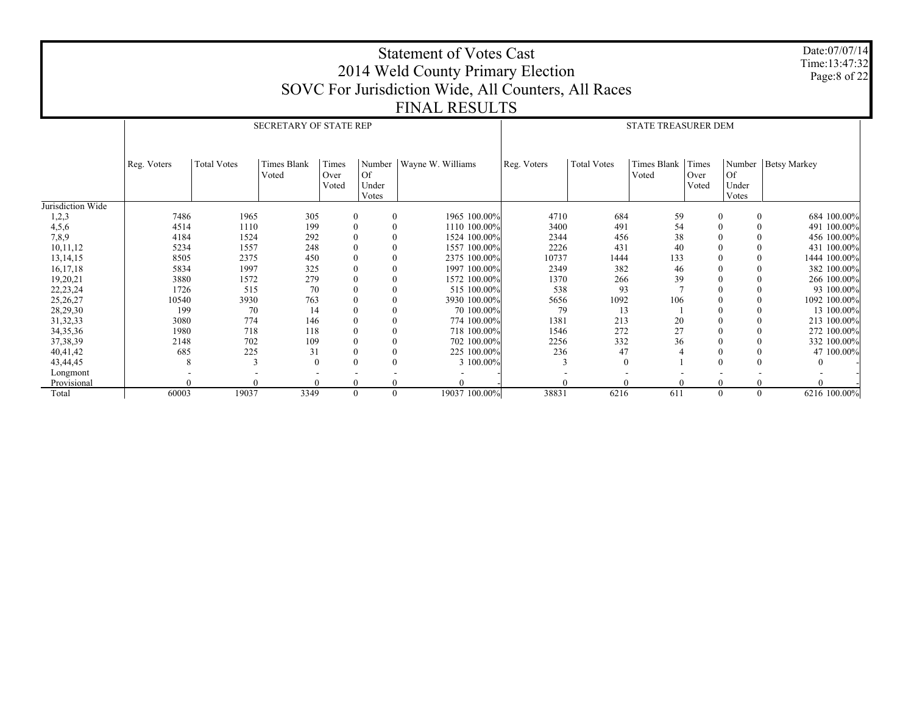|                        |              |                    |                               |                                    |                      | <b>Statement of Votes Cast</b><br>2014 Weld County Primary Election |             |                    |                            |          |                            | Date:07/07/14<br>Time:13:47:32<br>Page:8 of 22 |
|------------------------|--------------|--------------------|-------------------------------|------------------------------------|----------------------|---------------------------------------------------------------------|-------------|--------------------|----------------------------|----------|----------------------------|------------------------------------------------|
|                        |              |                    |                               |                                    |                      | SOVC For Jurisdiction Wide, All Counters, All Races                 |             |                    |                            |          |                            |                                                |
|                        |              |                    |                               |                                    |                      |                                                                     |             |                    |                            |          |                            |                                                |
|                        |              |                    |                               |                                    |                      | <b>FINAL RESULTS</b>                                                |             |                    |                            |          |                            |                                                |
|                        |              |                    | <b>SECRETARY OF STATE REP</b> |                                    |                      |                                                                     |             |                    | <b>STATE TREASURER DEM</b> |          |                            |                                                |
|                        |              |                    |                               |                                    |                      |                                                                     |             |                    |                            |          |                            |                                                |
|                        |              |                    |                               |                                    |                      |                                                                     |             |                    |                            |          |                            |                                                |
|                        | Reg. Voters  | <b>Total Votes</b> | Times Blank                   | Times                              | Number               | Wayne W. Williams                                                   | Reg. Voters | <b>Total Votes</b> | Times Blank   Times        |          |                            | Number   Betsy Markey                          |
|                        |              |                    | Voted                         | Over                               | Of                   |                                                                     |             |                    | Voted                      | Over     | Of                         |                                                |
|                        |              |                    |                               | Voted                              | Under                |                                                                     |             |                    |                            | Voted    | Under                      |                                                |
|                        |              |                    |                               |                                    | Votes                |                                                                     |             |                    |                            |          | Votes                      |                                                |
| Jurisdiction Wide      | 7486         | 1965               |                               |                                    |                      |                                                                     | 4710        | 684                |                            |          |                            |                                                |
| 1,2,3                  |              | 1110               | 305<br>199                    | $\boldsymbol{0}$                   | $\theta$<br>$\theta$ | 1965 100.00%<br>1110 100.00%                                        | 3400        | 491                | 59<br>54                   | $\theta$ | $\overline{0}$<br>$\theta$ | 684 100.00%                                    |
| 4,5,6<br>7,8,9         | 4514<br>4184 | 1524               | 292                           | $\boldsymbol{0}$<br>$\overline{0}$ | $\theta$             | 1524 100.00%                                                        | 2344        | 456                | 38                         |          | $\Omega$                   | 491 100.00%<br>456 100,00%                     |
| 10,11,12               | 5234         | 1557               | 248                           | $\boldsymbol{0}$                   | $\theta$             | 1557 100.00%                                                        | 2226        | 431                | 40                         |          | $\theta$                   | 431 100.00%                                    |
|                        | 8505         | 2375               | 450                           | $\theta$                           | $\theta$             | 2375 100.00%                                                        | 10737       | 1444               | 133                        |          | $\theta$                   | 1444 100,00%                                   |
| 13, 14, 15<br>16,17,18 | 5834         | 1997               | 325                           | $\overline{0}$                     | $\overline{0}$       | 1997 100.00%                                                        | 2349        | 382                | 46                         |          |                            | 382 100.00%                                    |
|                        | 3880         | 1572               | 279                           | $\overline{0}$                     | $\theta$             | 1572 100.00%                                                        | 1370        | 266                | 39                         |          | $\Omega$                   | 266 100.00%                                    |
| 19,20,21               | 1726         | 515                | 70                            | $\theta$                           | $\theta$             | 515 100,00%                                                         | 538         | 93                 |                            |          | $\Omega$                   | 93 100,00%                                     |
| 22, 23, 24<br>25,26,27 | 10540        | 3930               | 763                           | $\overline{0}$                     | $\theta$             | 3930 100.00%                                                        | 5656        | 1092               | 106                        |          | $\Omega$                   | 1092 100,00%                                   |
| 28,29,30               | 199          | 70                 | 14                            | $\boldsymbol{0}$                   | $\theta$             | 70 100,00%                                                          | 79          | 13                 |                            |          |                            | 13 100.00%                                     |
| 31, 32, 33             | 3080         | 774                | 146                           | $\overline{0}$                     | $\theta$             | 774 100,00%                                                         | 1381        | 213                | 20                         |          | $\theta$                   | 213 100,00%                                    |
| 34, 35, 36             | 1980         | 718                | 118                           | $\overline{0}$                     | $\theta$             | 718 100,00%                                                         | 1546        | 272                | 27                         |          | $\theta$                   | 272 100.00%                                    |
| 37, 38, 39             | 2148         | 702                | 109                           | $\overline{0}$                     | $\theta$             | 702 100,00%                                                         | 2256        | 332                | 36                         |          | $\mathbf{0}$               | 332 100.00%                                    |
| 40,41,42               | 685          | 225                | 31                            | $\overline{0}$                     | $\theta$             | 225 100.00%                                                         | 236         | 47                 |                            |          | $\theta$                   | 47 100,00%                                     |
| 43,44,45               | 8            | $\mathcal{R}$      | $\Omega$                      | $\theta$                           | $\theta$             | 3 100.00%                                                           | 3           | $\theta$           |                            |          | $\theta$                   | 0                                              |
| Longmont               |              |                    |                               |                                    |                      |                                                                     |             |                    |                            |          |                            |                                                |
| Provisional            |              |                    |                               | $\theta$                           |                      |                                                                     |             |                    |                            |          |                            | $\Omega$                                       |
| Total                  | 60003        | 19037              | 3349                          | $\theta$                           | $\theta$             | 19037 100.00%                                                       | 38831       | 6216               | 611                        | $\theta$ | $\theta$                   | 6216 100.00%                                   |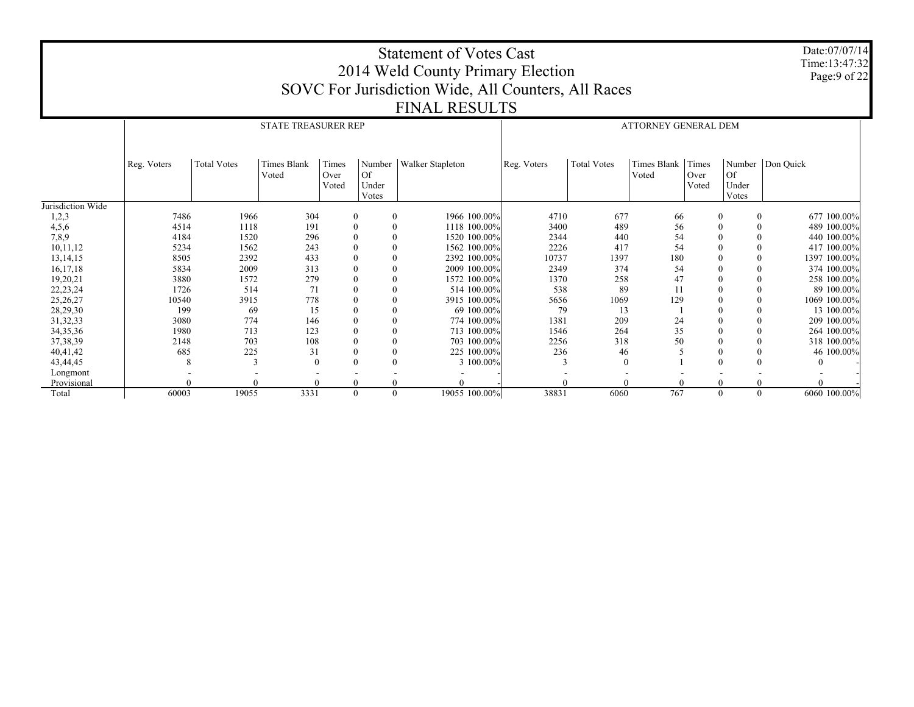|                   |             |                    |                            |                |          | <b>Statement of Votes Cast</b><br>2014 Weld County Primary Election |             |                    |                             |       |          | Date:07/07/14<br>Time:13:47:32<br>Page:9 of 22 |
|-------------------|-------------|--------------------|----------------------------|----------------|----------|---------------------------------------------------------------------|-------------|--------------------|-----------------------------|-------|----------|------------------------------------------------|
|                   |             |                    |                            |                |          | SOVC For Jurisdiction Wide, All Counters, All Races                 |             |                    |                             |       |          |                                                |
|                   |             |                    |                            |                |          |                                                                     |             |                    |                             |       |          |                                                |
|                   |             |                    |                            |                |          | <b>FINAL RESULTS</b>                                                |             |                    |                             |       |          |                                                |
|                   |             |                    | <b>STATE TREASURER REP</b> |                |          |                                                                     |             |                    | <b>ATTORNEY GENERAL DEM</b> |       |          |                                                |
|                   |             |                    |                            |                |          |                                                                     |             |                    |                             |       |          |                                                |
|                   |             |                    |                            |                |          |                                                                     |             |                    |                             |       |          |                                                |
|                   | Reg. Voters | <b>Total Votes</b> | <b>Times Blank</b>         | Times          | Number   | Walker Stapleton                                                    | Reg. Voters | <b>Total Votes</b> | Times Blank                 | Times |          | Number Don Quick                               |
|                   |             |                    | Voted                      | Over           | Of       |                                                                     |             |                    | Voted                       | Over  | Of       |                                                |
|                   |             |                    |                            | Voted          | Under    |                                                                     |             |                    |                             | Voted | Under    |                                                |
|                   |             |                    |                            |                | Votes    |                                                                     |             |                    |                             |       | Votes    |                                                |
| Jurisdiction Wide |             |                    |                            |                |          |                                                                     |             |                    |                             |       |          |                                                |
| 1,2,3             | 7486        | 1966               | 304                        | $\bf{0}$       | $\theta$ | 1966 100.00%                                                        | 4710        | 677                | 66                          |       | $\theta$ | 677 100.00%<br>$\overline{0}$                  |
| 4,5,6             | 4514        | 1118               | 191                        | $\mathbf{0}$   | $\Omega$ | 1118 100.00%                                                        | 3400        | 489                | 56                          |       |          | 489 100.00%<br>$\theta$                        |
| 7,8,9             | 4184        | 1520               | 296                        | $\mathbf{0}$   | $\theta$ | 1520 100.00%                                                        | 2344        | 440                | 54                          |       |          | $\theta$<br>440 100.00%                        |
| 10,11,12          | 5234        | 1562               | 243                        | $\mathbf{0}$   | $\theta$ | 1562 100.00%                                                        | 2226        | 417                | 54                          |       |          | $\theta$<br>417 100.00%                        |
| 13,14,15          | 8505        | 2392               | 433                        | $\overline{0}$ | $\theta$ | 2392 100.00%                                                        | 10737       | 1397               | 180                         |       |          | 1397 100.00%<br>$\theta$                       |
| 16,17,18          | 5834        | 2009               | 313                        | $\mathbf{0}$   | $\theta$ | 2009 100,00%                                                        | 2349        | 374                | 54                          |       |          | 374 100.00%<br>$\theta$                        |
| 19,20,21          | 3880        | 1572               | 279                        |                |          | 1572 100.00%                                                        | 1370        | 258                | 47                          |       |          | $\theta$<br>258 100.00%                        |
| 22, 23, 24        | 1726        | 514                | 71                         | $\theta$       | $\Omega$ | 514 100,00%                                                         | 538         | 89                 | 11                          |       |          | 89 100.00%<br>$\Omega$                         |
| 25,26,27          | 10540       | 3915               | 778                        | $\mathbf{0}$   | $\theta$ | 3915 100.00%                                                        | 5656        | 1069               | 129                         |       |          | $\theta$<br>1069 100.00%                       |
| 28,29,30          | 199         | 69                 | 15                         | $\mathbf{0}$   | $\Omega$ | 69 100.00%                                                          | 79          | 13                 |                             |       |          | $\theta$<br>13 100,00%                         |
| 31, 32, 33        | 3080        | 774                | 146                        | $\overline{0}$ | $\theta$ | 774 100,00%                                                         | 1381        | 209                | 24                          |       |          | 209 100.00%<br>$\Omega$                        |
| 34, 35, 36        | 1980        | 713                | 123                        | $\mathbf{0}$   | $\theta$ | 713 100.00%                                                         | 1546        | 264                | 35                          |       |          | $\theta$<br>264 100.00%                        |
| 37, 38, 39        | 2148        | 703                | 108                        | $\mathbf{0}$   |          | 703 100,00%                                                         | 2256        | 318                | 50                          |       |          | $\theta$<br>318 100.00%                        |
| 40,41,42          | 685         | 225                | 31                         | $\theta$       | $\Omega$ | 225 100.00%                                                         | 236         | 46                 |                             |       |          | 46 100.00%<br>$\Omega$                         |
| 43,44,45          | 8           | 3                  | $\Omega$                   | $\mathbf{0}$   | $\theta$ | 3 100.00%                                                           | 3           | $\theta$           |                             |       |          | $\theta$                                       |
| Longmont          |             |                    |                            |                |          |                                                                     |             |                    |                             |       |          |                                                |
| Provisional       |             |                    |                            | $\theta$       |          |                                                                     |             |                    |                             |       |          |                                                |
| Total             | 60003       | 19055              | 3331                       | $\theta$       | $\theta$ | 19055 100.00%                                                       | 38831       | 6060               | 767                         |       | $\theta$ | 6060 100.00%<br>$\theta$                       |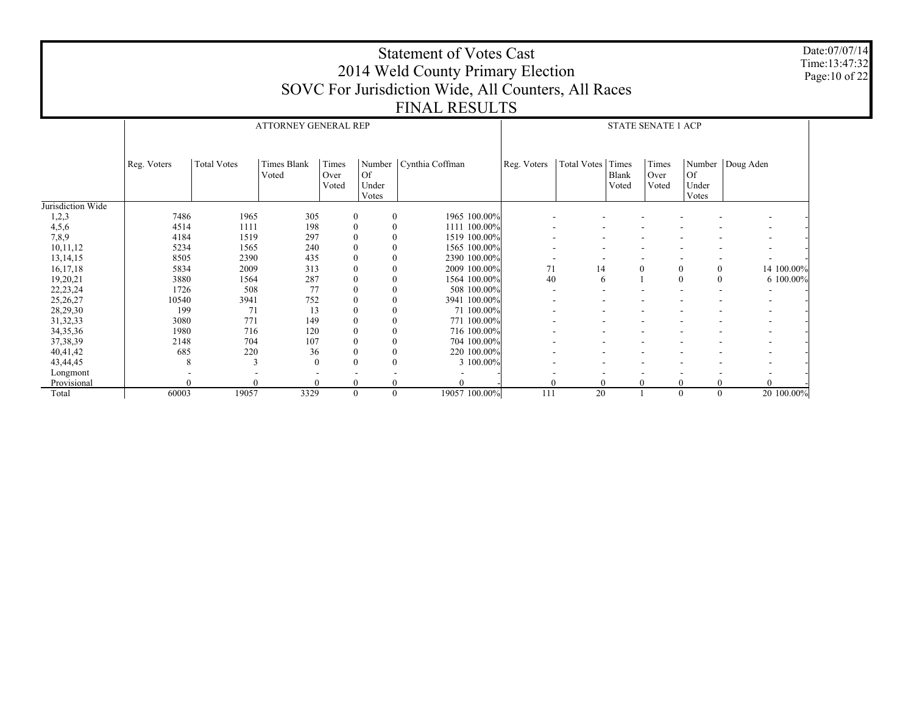|                   |             |                    |                             |                        |                             | <b>Statement of Votes Cast</b><br>2014 Weld County Primary Election<br>SOVC For Jurisdiction Wide, All Counters, All Races |             |                   |                |                           |                             |                  | Date:07/07/14<br>Time:13:47:32<br>Page: 10 of 22 |
|-------------------|-------------|--------------------|-----------------------------|------------------------|-----------------------------|----------------------------------------------------------------------------------------------------------------------------|-------------|-------------------|----------------|---------------------------|-----------------------------|------------------|--------------------------------------------------|
|                   |             |                    |                             |                        |                             | <b>FINAL RESULTS</b>                                                                                                       |             |                   |                |                           |                             |                  |                                                  |
|                   |             |                    |                             |                        |                             |                                                                                                                            |             |                   |                |                           |                             |                  |                                                  |
|                   |             |                    | <b>ATTORNEY GENERAL REP</b> |                        |                             |                                                                                                                            |             |                   |                | <b>STATE SENATE 1 ACP</b> |                             |                  |                                                  |
|                   |             |                    |                             |                        |                             |                                                                                                                            |             |                   |                |                           |                             |                  |                                                  |
|                   | Reg. Voters | <b>Total Votes</b> | <b>Times Blank</b><br>Voted | Times<br>Over<br>Voted | <b>Of</b><br>Under<br>Votes | Number   Cynthia Coffman                                                                                                   | Reg. Voters | Total Votes Times | Blank<br>Voted | Times<br>Over<br>Voted    | <b>Of</b><br>Under<br>Votes | Number Doug Aden |                                                  |
| Jurisdiction Wide |             |                    |                             |                        |                             |                                                                                                                            |             |                   |                |                           |                             |                  |                                                  |
| 1,2,3             | 7486        | 1965               | 305                         | $\boldsymbol{0}$       |                             | 1965 100.00%                                                                                                               |             |                   |                |                           |                             |                  |                                                  |
| 4,5,6             | 4514        | 1111               | 198                         | $\boldsymbol{0}$       |                             | 1111 100.00%                                                                                                               |             |                   |                |                           |                             |                  |                                                  |
| 7,8,9             | 4184        | 1519               | 297                         | $\mathbf{0}$           |                             | 1519 100.00%                                                                                                               |             |                   |                |                           |                             |                  |                                                  |
| 10,11,12          | 5234        | 1565               | 240                         |                        |                             | 1565 100.00%                                                                                                               |             |                   |                |                           |                             |                  |                                                  |
| 13, 14, 15        | 8505        | 2390               | 435                         |                        | $\theta$                    | 2390 100.00%                                                                                                               |             |                   |                |                           |                             |                  |                                                  |
| 16,17,18          | 5834        | 2009               | 313                         |                        |                             | 2009 100.00%                                                                                                               | 71          | 14                |                | $\overline{0}$            | $\boldsymbol{0}$            | 14 100.00%       |                                                  |
| 19,20,21          | 3880        | 1564               | 287                         |                        |                             | 1564 100.00%                                                                                                               | 40          | 6                 |                |                           | $\Omega$<br>$\theta$        | 6 100.00%        |                                                  |
| 22, 23, 24        | 1726        | 508                | 77                          |                        |                             | 508 100.00%                                                                                                                |             |                   |                |                           |                             |                  |                                                  |
| 25,26,27          | 10540       | 3941               | 752                         |                        |                             | 3941 100.00%                                                                                                               |             |                   |                |                           |                             |                  |                                                  |
| 28,29,30          | 199         | 71                 | 13                          | $\mathbf{0}$           |                             | 71 100,00%                                                                                                                 |             |                   |                |                           |                             |                  |                                                  |
| 31,32,33          | 3080        | 771                | 149                         |                        | $\theta$                    | 771 100.00%                                                                                                                |             |                   |                |                           |                             |                  |                                                  |
| 34, 35, 36        | 1980        | 716                | 120                         |                        |                             | 716 100.00%                                                                                                                |             |                   |                |                           |                             |                  |                                                  |
| 37, 38, 39        | 2148        | 704                | 107                         | $\theta$               |                             | 704 100.00%                                                                                                                |             |                   |                |                           |                             |                  |                                                  |
| 40,41,42          | 685         | 220                | 36                          | $\theta$               | $\Omega$                    | 220 100.00%                                                                                                                |             |                   |                |                           |                             |                  |                                                  |
| 43,44,45          | 8           | 3                  | $\Omega$                    | $\theta$               | $\Omega$                    | 3 100.00%                                                                                                                  |             |                   |                |                           |                             |                  |                                                  |
| Longmont          |             |                    |                             |                        |                             |                                                                                                                            |             |                   |                |                           |                             |                  |                                                  |
| Provisional       |             |                    |                             | $\mathbf{0}$           |                             |                                                                                                                            | $\theta$    | $\theta$          |                | $\Omega$                  |                             |                  |                                                  |
| Total             | 60003       | 19057              | 3329                        | $\theta$               |                             | 19057 100.00%<br>$\theta$                                                                                                  | 111         | $\overline{20}$   |                |                           | $\Omega$<br>$\theta$        | 20 100,00%       |                                                  |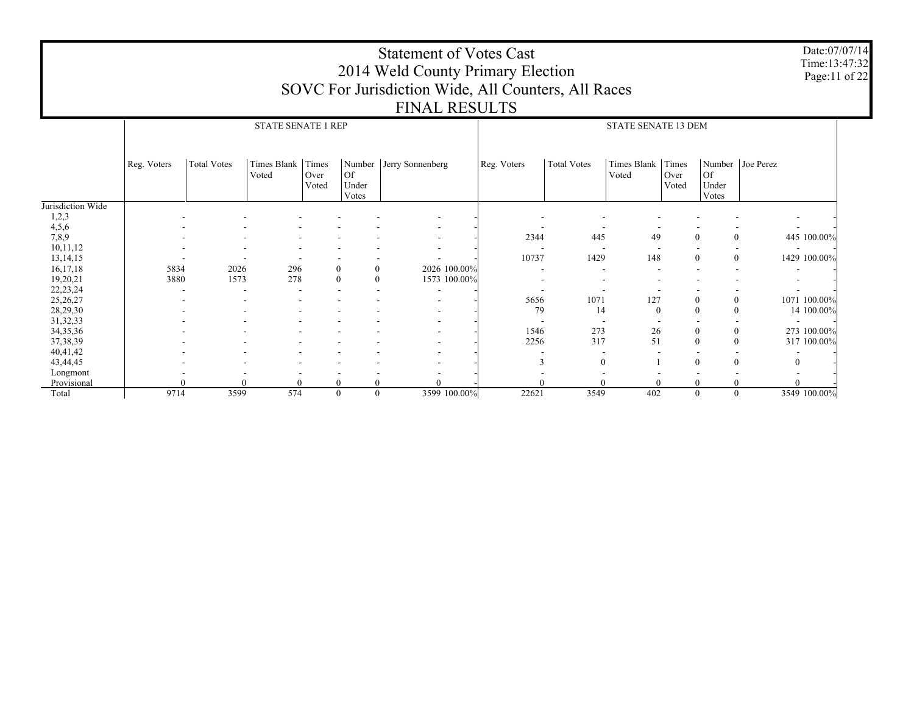|                      |             |                    |                            |                      |                        | <b>Statement of Votes Cast</b><br>2014 Weld County Primary Election |             |                    |                            |                        |                      |                    | Date:07/07/14<br>Time:13:47:32<br>Page:11 of 22 |
|----------------------|-------------|--------------------|----------------------------|----------------------|------------------------|---------------------------------------------------------------------|-------------|--------------------|----------------------------|------------------------|----------------------|--------------------|-------------------------------------------------|
|                      |             |                    |                            |                      |                        | SOVC For Jurisdiction Wide, All Counters, All Races                 |             |                    |                            |                        |                      |                    |                                                 |
|                      |             |                    |                            |                      |                        |                                                                     |             |                    |                            |                        |                      |                    |                                                 |
|                      |             |                    |                            |                      |                        | <b>FINAL RESULTS</b>                                                |             |                    |                            |                        |                      |                    |                                                 |
|                      |             |                    | <b>STATE SENATE 1 REP</b>  |                      |                        |                                                                     |             |                    | <b>STATE SENATE 13 DEM</b> |                        |                      |                    |                                                 |
|                      |             |                    |                            |                      |                        |                                                                     |             |                    |                            |                        |                      |                    |                                                 |
|                      |             |                    |                            |                      |                        |                                                                     |             |                    |                            |                        |                      |                    |                                                 |
|                      | Reg. Voters | <b>Total Votes</b> | Times Blank Times<br>Voted | Over<br>Voted        | Of  <br>Under<br>Votes | Number Jerry Sonnenberg                                             | Reg. Voters | <b>Total Votes</b> | Times Blank<br>Voted       | Times<br>Over<br>Voted | Of<br>Under<br>Votes | Number   Joe Perez |                                                 |
| Jurisdiction Wide    |             |                    |                            |                      |                        |                                                                     |             |                    |                            |                        |                      |                    |                                                 |
| 1,2,3                |             |                    |                            |                      |                        |                                                                     |             |                    |                            |                        |                      |                    |                                                 |
| 4,5,6                |             |                    |                            |                      |                        |                                                                     |             |                    |                            |                        |                      |                    |                                                 |
| 7,8,9                |             |                    |                            |                      |                        |                                                                     | 2344        | 445                | 49                         | $\Omega$               |                      | $\theta$           | 445 100.00%                                     |
| 10,11,12             |             |                    |                            |                      |                        |                                                                     |             |                    |                            |                        |                      |                    |                                                 |
| 13, 14, 15           |             |                    |                            |                      |                        |                                                                     | 10737       | 1429               | 148                        | $\theta$               |                      | $\mathbf{0}$       | 1429 100.00%                                    |
| 16,17,18             | 5834        | 2026               | 296                        | $\theta$             | $\bf{0}$               | 2026 100.00%                                                        |             |                    |                            |                        |                      |                    |                                                 |
| 19,20,21             | 3880        | 1573               | 278                        | $\theta$             | $\bf{0}$               | 1573 100.00%                                                        |             |                    |                            |                        |                      |                    |                                                 |
| 22, 23, 24           |             |                    |                            |                      |                        |                                                                     |             |                    |                            |                        |                      |                    |                                                 |
| 25,26,27             |             |                    |                            |                      |                        |                                                                     | 5656        | 1071               | 127                        | $\theta$               |                      | $\mathbf{0}$       | 1071 100.00%                                    |
| 28,29,30             |             |                    |                            |                      |                        |                                                                     | 79          | 14                 | $\Omega$                   | $\Omega$               | $\theta$             |                    | 14 100.00%                                      |
| 31, 32, 33           |             |                    |                            |                      |                        |                                                                     |             |                    |                            |                        |                      |                    |                                                 |
| 34, 35, 36           |             |                    |                            |                      |                        |                                                                     | 1546        | 273                | 26                         | $\theta$               |                      | $\mathbf{0}$       | 273 100,00%                                     |
| 37, 38, 39           |             |                    |                            |                      |                        |                                                                     | 2256        | 317                | 51                         | $\Omega$               |                      | $\Omega$           | 317 100.00%                                     |
| 40,41,42             |             |                    |                            |                      |                        |                                                                     |             |                    |                            |                        |                      |                    |                                                 |
| 43,44,45             |             |                    |                            |                      |                        |                                                                     |             | $\Omega$           |                            | $\theta$               |                      | $\theta$           | $\overline{0}$                                  |
| Longmont             |             |                    |                            |                      |                        | $\Omega$                                                            |             |                    |                            |                        |                      |                    |                                                 |
| Provisional<br>Total | 9714        | $\Omega$<br>3599   | 574                        | $\Omega$<br>$\theta$ | $\theta$<br>$\theta$   | 3599 100.00%                                                        | 22621       | 3549               | 402                        | $\theta$               |                      | $\theta$           | 3549 100.00%                                    |
|                      |             |                    |                            |                      |                        |                                                                     |             |                    |                            |                        |                      |                    |                                                 |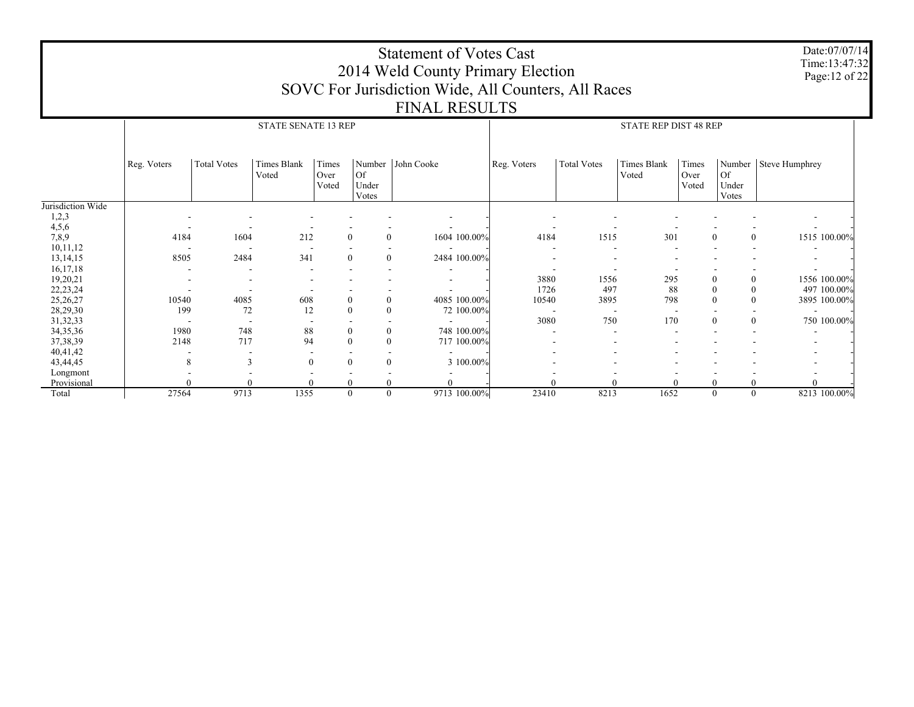|                      |             |                    |                            |                  |                      | <b>Statement of Votes Cast</b><br>2014 Weld County Primary Election |             |                    |                              |               |                                      | Date:07/07/14<br>Time:13:47:32 |
|----------------------|-------------|--------------------|----------------------------|------------------|----------------------|---------------------------------------------------------------------|-------------|--------------------|------------------------------|---------------|--------------------------------------|--------------------------------|
|                      |             |                    |                            |                  |                      |                                                                     |             |                    |                              |               |                                      | Page: 12 of 22                 |
|                      |             |                    |                            |                  |                      | SOVC For Jurisdiction Wide, All Counters, All Races                 |             |                    |                              |               |                                      |                                |
|                      |             |                    |                            |                  |                      | <b>FINAL RESULTS</b>                                                |             |                    |                              |               |                                      |                                |
|                      |             |                    |                            |                  |                      |                                                                     |             |                    |                              |               |                                      |                                |
|                      |             |                    | <b>STATE SENATE 13 REP</b> |                  |                      |                                                                     |             |                    | <b>STATE REP DIST 48 REP</b> |               |                                      |                                |
|                      |             |                    |                            |                  |                      |                                                                     |             |                    |                              |               |                                      |                                |
|                      |             |                    |                            |                  |                      |                                                                     |             |                    |                              |               |                                      |                                |
|                      | Reg. Voters | <b>Total Votes</b> | Times Blank                | Times            |                      | Number John Cooke                                                   | Reg. Voters | <b>Total Votes</b> | Times Blank                  | Times         |                                      | Number   Steve Humphrey        |
|                      |             |                    | Voted                      | Over<br>Voted    | Of<br>Under          |                                                                     |             |                    | Voted                        | Over<br>Voted | Of<br>Under                          |                                |
|                      |             |                    |                            |                  | Votes                |                                                                     |             |                    |                              |               | Votes                                |                                |
| Jurisdiction Wide    |             |                    |                            |                  |                      |                                                                     |             |                    |                              |               |                                      |                                |
| 1,2,3                |             |                    |                            |                  |                      |                                                                     |             |                    |                              |               |                                      |                                |
| 4,5,6                |             |                    |                            |                  |                      |                                                                     |             |                    |                              |               |                                      |                                |
| 7,8,9                | 4184        | 1604               | 212                        | $\mathbf{0}$     | $\theta$             | 1604 100.00%                                                        | 4184        | 1515               | 301                          |               | $\Omega$<br>$\mathbf{0}$             | 1515 100.00%                   |
| 10,11,12             |             |                    |                            |                  |                      |                                                                     |             |                    |                              |               |                                      |                                |
| 13, 14, 15           | 8505        | 2484               | 341                        | $\mathbf{0}$     | $\mathbf{0}$         | 2484 100.00%                                                        |             |                    |                              |               |                                      |                                |
| 16,17,18             |             |                    |                            |                  |                      |                                                                     |             |                    |                              |               |                                      |                                |
| 19,20,21             |             |                    |                            |                  |                      |                                                                     | 3880        | 1556               | 295                          |               | $\mathbf{0}$<br>$\mathbf{0}$         | 1556 100.00%                   |
| 22, 23, 24           |             |                    |                            |                  |                      |                                                                     | 1726        | 497                | 88                           |               | $\Omega$<br>$\mathbf{0}$             | 497 100.00%                    |
| 25, 26, 27           | 10540       | 4085               | 608                        | $\mathbf{0}$     | $\theta$             | 4085 100.00%                                                        | 10540       | 3895               | 798                          |               | $\Omega$<br>$\mathbf{0}$             | 3895 100.00%                   |
| 28,29,30             | 199         | 72                 | 12                         |                  | $\theta$             | 72 100.00%                                                          |             | 750                | 170                          |               | $\overline{\phantom{a}}$<br>$\Omega$ |                                |
| 31,32,33             | 1980        | 748                | 88                         | $\boldsymbol{0}$ | $\mathbf{0}$         | 748 100.00%                                                         | 3080        |                    |                              |               | $\overline{0}$                       | 750 100.00%                    |
| 34, 35, 36           | 2148        | 717                | 94                         | $\theta$         | $\theta$             | 717 100.00%                                                         |             |                    |                              |               |                                      |                                |
| 37,38,39<br>40,41,42 |             |                    |                            |                  |                      |                                                                     |             |                    |                              |               |                                      |                                |
| 43,44,45             | 8           | 3                  | $\mathbf{0}$               | $\mathbf{0}$     | $\theta$             | 3 100.00%                                                           |             |                    |                              |               |                                      |                                |
| Longmont             |             |                    |                            |                  |                      |                                                                     |             |                    |                              |               |                                      |                                |
| Provisional          |             |                    |                            |                  |                      |                                                                     |             |                    |                              |               | $\theta$<br>0                        | $\Omega$                       |
| Total                | 27564       | 9713               | 1355                       |                  | $\theta$<br>$\theta$ | 9713 100.00%                                                        | 23410       | 8213               | 1652                         |               | $\theta$<br>$\theta$                 | 8213 100.00%                   |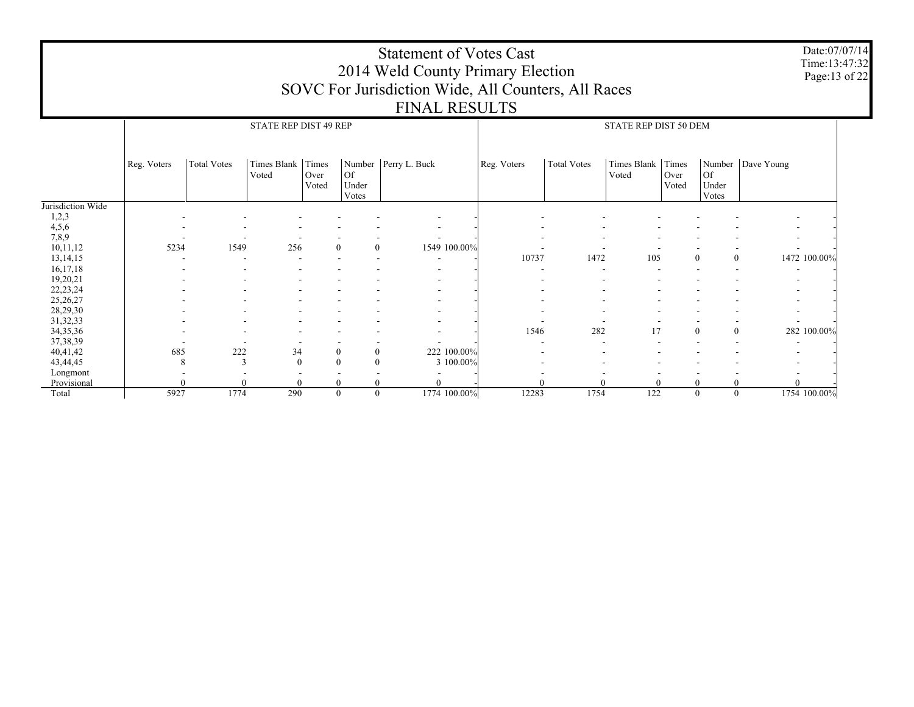|                        |             |                    |                              |               |                            | <b>Statement of Votes Cast</b><br>2014 Weld County Primary Election<br>SOVC For Jurisdiction Wide, All Counters, All Races<br><b>FINAL RESULTS</b> |             |                    |                       |               |                       |                     | Date:07/07/14<br>Time:13:47:32<br>Page: 13 of 22 |
|------------------------|-------------|--------------------|------------------------------|---------------|----------------------------|----------------------------------------------------------------------------------------------------------------------------------------------------|-------------|--------------------|-----------------------|---------------|-----------------------|---------------------|--------------------------------------------------|
|                        |             |                    | <b>STATE REP DIST 49 REP</b> |               |                            |                                                                                                                                                    |             |                    | STATE REP DIST 50 DEM |               |                       |                     |                                                  |
|                        | Reg. Voters | <b>Total Votes</b> | Times Blank Times            |               |                            | Number Perry L. Buck                                                                                                                               | Reg. Voters | <b>Total Votes</b> | Times Blank Times     |               |                       | Number   Dave Young |                                                  |
|                        |             |                    | Voted                        | Over<br>Voted | Of 0<br>Under<br>Votes     |                                                                                                                                                    |             |                    | Voted                 | Over<br>Voted | 0f <br>Under<br>Votes |                     |                                                  |
| Jurisdiction Wide      |             |                    |                              |               |                            |                                                                                                                                                    |             |                    |                       |               |                       |                     |                                                  |
| 1,2,3                  |             |                    |                              |               |                            |                                                                                                                                                    |             |                    |                       |               |                       |                     |                                                  |
| 4,5,6                  |             |                    |                              |               |                            |                                                                                                                                                    |             |                    |                       |               |                       |                     |                                                  |
| 7,8,9                  |             |                    |                              |               |                            |                                                                                                                                                    |             |                    |                       |               |                       |                     |                                                  |
| 10,11,12               | 5234        | 1549               | 256                          |               | $\theta$                   | $\mathbf{0}$<br>1549 100.00%                                                                                                                       |             |                    |                       |               |                       |                     |                                                  |
| 13, 14, 15             |             |                    |                              |               |                            | $\sim$                                                                                                                                             | 10737       | 1472               | 105                   |               | $\mathbf{0}$          | $\overline{0}$      | 1472 100.00%                                     |
| 16, 17, 18             |             |                    |                              |               |                            |                                                                                                                                                    |             |                    |                       |               |                       |                     |                                                  |
| 19,20,21               |             |                    |                              |               |                            |                                                                                                                                                    |             |                    |                       |               |                       |                     |                                                  |
| 22, 23, 24<br>25,26,27 |             |                    |                              |               |                            |                                                                                                                                                    |             |                    |                       |               |                       |                     |                                                  |
| 28,29,30               |             |                    |                              |               |                            |                                                                                                                                                    |             |                    |                       |               |                       |                     |                                                  |
| 31, 32, 33             |             |                    |                              |               |                            |                                                                                                                                                    |             |                    |                       |               |                       |                     |                                                  |
| 34, 35, 36             |             |                    |                              |               |                            |                                                                                                                                                    | 1546        | 282                | 17                    |               | $\boldsymbol{0}$      | $\mathbf{0}$        | 282 100.00%                                      |
| 37, 38, 39             |             |                    |                              |               |                            |                                                                                                                                                    |             |                    |                       |               |                       |                     |                                                  |
| 40,41,42               | 685         | 222                | 34                           |               | $\theta$                   | 222 100.00%<br>$\boldsymbol{0}$                                                                                                                    |             |                    |                       |               |                       |                     |                                                  |
| 43,44,45               |             | 3                  | $\theta$                     |               | $\overline{0}$<br>$\Omega$ | 3 100.00%                                                                                                                                          |             |                    |                       |               |                       |                     |                                                  |
| Longmont               |             |                    |                              |               |                            |                                                                                                                                                    |             |                    |                       |               |                       |                     |                                                  |
| Provisional            |             |                    |                              |               |                            |                                                                                                                                                    |             |                    |                       |               | $\Omega$              |                     |                                                  |
| Total                  | 5927        | 1774               | 290                          |               | $\theta$                   | $\theta$<br>1774 100.00%                                                                                                                           | 12283       | 1754               | $\overline{122}$      |               | $\theta$              | $\theta$            | 1754 100.00%                                     |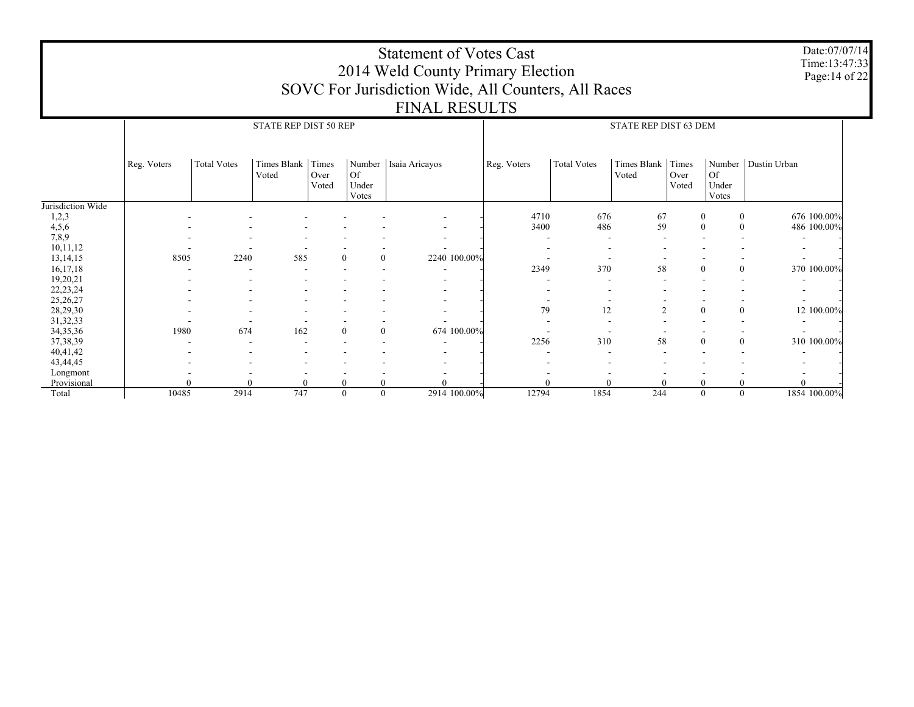|                      |             |                    |                       |                        |                                |                         |              | 2014 Weld County Primary Election                   |                    |                       |                        |                                      | Time:13:47:33<br>Page: 14 of 22 |
|----------------------|-------------|--------------------|-----------------------|------------------------|--------------------------------|-------------------------|--------------|-----------------------------------------------------|--------------------|-----------------------|------------------------|--------------------------------------|---------------------------------|
|                      |             |                    |                       |                        |                                |                         |              | SOVC For Jurisdiction Wide, All Counters, All Races |                    |                       |                        |                                      |                                 |
|                      |             |                    |                       |                        |                                | <b>FINAL RESULTS</b>    |              |                                                     |                    |                       |                        |                                      |                                 |
|                      |             |                    | STATE REP DIST 50 REP |                        |                                |                         |              |                                                     |                    | STATE REP DIST 63 DEM |                        |                                      |                                 |
|                      | Reg. Voters | <b>Total Votes</b> | Times Blank<br>Voted  | Times<br>Over<br>Voted | Of<br>Under<br>Votes           | Number   Isaia Aricayos |              | Reg. Voters                                         | <b>Total Votes</b> | Times Blank<br>Voted  | Times<br>Over<br>Voted | Of<br>Under<br>Votes                 | Number   Dustin Urban           |
| Jurisdiction Wide    |             |                    |                       |                        |                                |                         |              |                                                     |                    |                       |                        |                                      |                                 |
| 1,2,3                |             |                    |                       |                        |                                |                         |              | 4710                                                | 676<br>486         | 67<br>59              |                        | $\bf{0}$<br>0<br>$\mathbf{0}$        | 676 100.00%                     |
| 4,5,6<br>7,8,9       |             |                    |                       |                        |                                |                         |              | 3400                                                |                    |                       |                        | $\mathbf{0}$                         | 486 100.00%                     |
| 10,11,12             |             |                    |                       |                        |                                |                         |              |                                                     |                    |                       |                        |                                      |                                 |
| 13, 14, 15           | 8505        | 2240               | 585                   |                        | $\theta$<br>$\theta$           |                         | 2240 100.00% |                                                     |                    |                       |                        |                                      |                                 |
| 16,17,18             |             |                    |                       |                        |                                |                         |              | 2349                                                | 370                | 58                    |                        | $\bf{0}$<br>$\overline{0}$           | 370 100.00%                     |
| 19,20,21             |             |                    |                       |                        |                                |                         |              |                                                     |                    |                       |                        |                                      |                                 |
| 22, 23, 24           |             |                    |                       |                        |                                |                         |              |                                                     |                    |                       |                        |                                      |                                 |
| 25,26,27             |             |                    |                       |                        |                                |                         |              |                                                     |                    |                       |                        |                                      | $\overline{\phantom{a}}$        |
| 28,29,30             |             |                    |                       |                        |                                |                         |              | 79                                                  | 12                 | $\overline{2}$        |                        | $\boldsymbol{0}$<br>$\boldsymbol{0}$ | 12 100.00%                      |
| 31,32,33             |             |                    | <b>.</b>              |                        |                                |                         |              |                                                     |                    |                       |                        |                                      |                                 |
| 34, 35, 36           | 1980        | 674                | 162                   |                        | $\overline{0}$<br>$\mathbf{0}$ |                         | 674 100.00%  |                                                     |                    |                       |                        |                                      |                                 |
| 37, 38, 39           |             |                    |                       |                        |                                |                         |              | 2256                                                | 310                | 58                    |                        | $\mathbf{0}$<br>$\overline{0}$       | 310 100.00%                     |
| 40,41,42             |             |                    |                       |                        |                                |                         |              |                                                     |                    |                       |                        | $\blacksquare$                       |                                 |
| 43,44,45             |             |                    |                       |                        |                                |                         |              |                                                     |                    |                       |                        |                                      |                                 |
| Longmont             |             |                    |                       |                        |                                |                         |              |                                                     |                    |                       |                        |                                      |                                 |
| Provisional<br>Total |             |                    |                       |                        |                                |                         |              |                                                     |                    |                       |                        | $\theta$                             |                                 |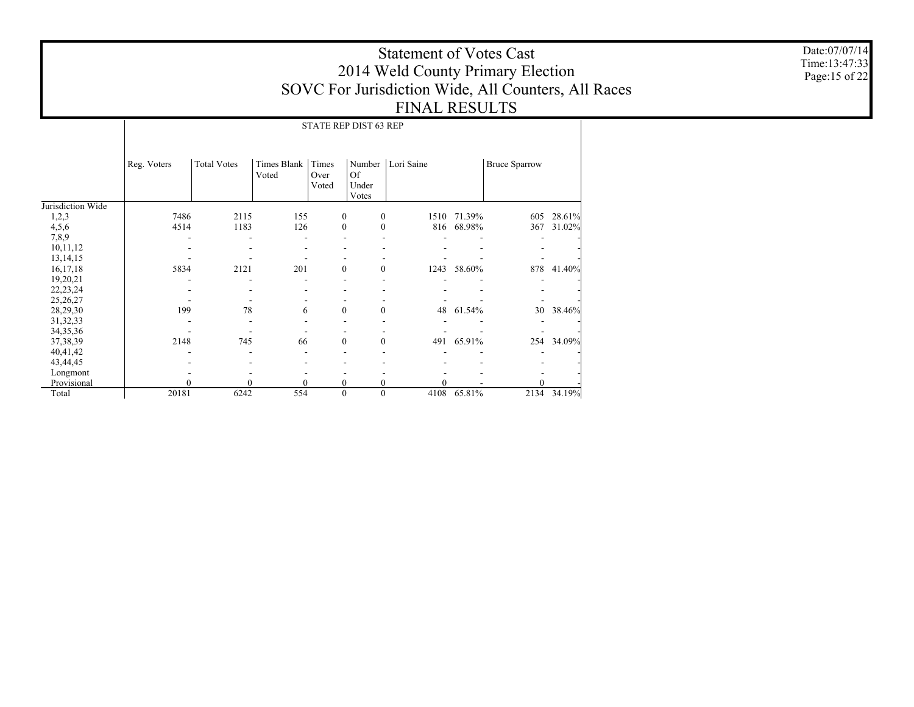Date:07/07/14 Time:13:47:33 Page:15 of 22

# Statement of Votes Cast 2014 Weld County Primary Election SOVC For Jurisdiction Wide, All Counters, All Races FINAL RESULTS

STATE REP DIST 63 REP

|                   | Reg. Voters | <b>Total Votes</b> | Times Blank<br>Voted | Times<br>Over    | Number<br><sup>Of</sup> | Lori Saine |             | <b>Bruce Sparrow</b> |        |
|-------------------|-------------|--------------------|----------------------|------------------|-------------------------|------------|-------------|----------------------|--------|
|                   |             |                    |                      | Voted            | Under<br>Votes          |            |             |                      |        |
| Jurisdiction Wide |             |                    |                      |                  |                         |            |             |                      |        |
| 1,2,3             | 7486        | 2115               | 155                  | $\mathbf{0}$     | $\mathbf{0}$            | 1510       | 71.39%      | 605                  | 28.61% |
| 4,5,6             | 4514        | 1183               | 126                  | $\mathbf{0}$     | $\mathbf{0}$            | 816        | 68.98%      | 367                  | 31.02% |
| 7,8,9             |             |                    |                      |                  |                         |            |             |                      |        |
| 10,11,12          |             |                    |                      |                  |                         |            |             |                      |        |
| 13, 14, 15        |             |                    |                      |                  |                         |            |             |                      |        |
| 16, 17, 18        | 5834        | 2121               | 201                  | $\mathbf{0}$     | $\overline{0}$          |            | 1243 58.60% | 878                  | 41.40% |
| 19,20,21          |             |                    |                      |                  |                         |            |             |                      |        |
| 22, 23, 24        |             |                    |                      |                  |                         |            |             |                      |        |
| 25,26,27          |             |                    |                      |                  |                         |            |             |                      |        |
| 28,29,30          | 199         | 78                 | 6                    | $\mathbf{0}$     | $\theta$                | 48         | 61.54%      | 30                   | 38.46% |
| 31, 32, 33        |             |                    |                      |                  |                         |            |             |                      |        |
| 34, 35, 36        |             |                    |                      |                  |                         |            |             |                      |        |
| 37, 38, 39        | 2148        | 745                | 66                   | $\mathbf{0}$     | $\mathbf{0}$            | 491        | 65.91%      | 254                  | 34.09% |
| 40,41,42          |             |                    |                      |                  |                         |            |             |                      |        |
| 43,44,45          |             |                    |                      |                  |                         |            |             |                      |        |
| Longmont          |             |                    |                      |                  |                         |            |             |                      |        |
| Provisional       | 0           | $\theta$           | $\mathbf{0}$         | 0                | 0                       |            |             |                      |        |
| Total             | 20181       | 6242               | 554                  | $\boldsymbol{0}$ | $\mathbf{0}$            | 4108       | 65.81%      | 2134                 | 34.19% |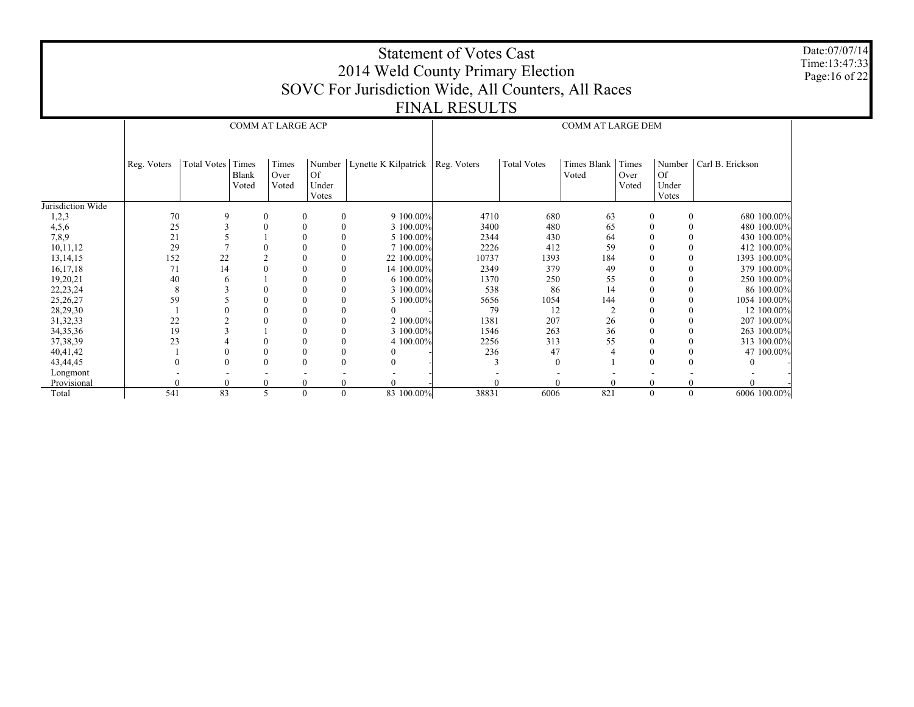Date:07/07/14 Time:13:47:33 Page:16 of 22

## Statement of Votes Cast 2014 Weld County Primary Election SOVC For Jurisdiction Wide, All Counters, All Races FINAL RESULTS

COMM AT LARGE DEM

|                   | Reg. Voters | Total Votes | Times<br><b>Blank</b><br>Voted | Times<br>Over<br>Voted | Number<br><b>Of</b><br>Under<br>Votes | Lynette K Kilpatrick $\vert$ | Reg. Voters | <b>Total Votes</b> | Times Blank<br>Voted | Times<br>Over<br>Voted | Number<br><b>Of</b><br>Under<br>Votes | Carl B. Erickson |
|-------------------|-------------|-------------|--------------------------------|------------------------|---------------------------------------|------------------------------|-------------|--------------------|----------------------|------------------------|---------------------------------------|------------------|
| Jurisdiction Wide |             |             |                                |                        |                                       |                              |             |                    |                      |                        |                                       |                  |
| 1,2,3             | 70          | 9           | $\boldsymbol{0}$               |                        | $\bf{0}$                              | 9 100.00%<br>$\mathbf{0}$    | 4710        | 680                | 63                   | $\mathbf{0}$           | $\mathbf{0}$                          | 680 100.00%      |
| 4,5,6             | 25          | 3           | $\theta$                       |                        | $\boldsymbol{0}$                      | 3 100,00%<br>$\mathbf{0}$    | 3400        | 480                | 65                   | $\theta$               | $\mathbf{0}$                          | 480 100.00%      |
| 7,8,9             | 21          |             |                                |                        | $\boldsymbol{0}$                      | 5 100,00%<br>$\mathbf{0}$    | 2344        | 430                | 64                   | $\theta$               | 0                                     | 430 100.00%      |
| 10,11,12          | 29          |             | $\boldsymbol{0}$               |                        | $\boldsymbol{0}$                      | 7 100,00%<br>$\mathbf{0}$    | 2226        | 412                | 59                   |                        | 0                                     | 412 100.00%      |
| 13, 14, 15        | 152         | 22          |                                |                        | $\boldsymbol{0}$                      | 22 100.00%<br>$\mathbf{0}$   | 10737       | 1393               | 184                  |                        | 0                                     | 1393 100.00%     |
| 16, 17, 18        | 71          | 14          | $\overline{0}$                 |                        | $\boldsymbol{0}$                      | 14 100.00%<br>$\mathbf{0}$   | 2349        | 379                | 49                   |                        | 0                                     | 379 100.00%      |
| 19,20,21          | 40          | 6           |                                |                        | $\boldsymbol{0}$                      | 6 100.00%<br>$\mathbf{0}$    | 1370        | 250                | 55                   |                        | 0                                     | 250 100.00%      |
| 22, 23, 24        | 8           | 3           | 0                              |                        | $\boldsymbol{0}$                      | 3 100.00%<br>$\mathbf{0}$    | 538         | 86                 | 14                   |                        | $\mathbf{0}$                          | 86 100.00%       |
| 25,26,27          | 59          |             | $\boldsymbol{0}$               |                        | $\boldsymbol{0}$                      | 5 100.00%<br>$\mathbf{0}$    | 5656        | 1054               | 144                  |                        | $\mathbf{0}$                          | 1054 100.00%     |
| 28,29,30          |             |             | $\boldsymbol{0}$               |                        | $\boldsymbol{0}$                      |                              | 79          | 12                 |                      |                        | 0                                     | 12 100.00%       |
| 31, 32, 33        | 22          |             | $\boldsymbol{0}$               |                        | $\mathbf{0}$                          | 2 100,00%<br>$\mathbf{0}$    | 1381        | 207                | 26                   |                        | $\mathbf{0}$                          | 207 100.00%      |
| 34, 35, 36        | 19          |             |                                |                        | $\boldsymbol{0}$                      | 3 100.00%<br>$\mathbf{0}$    | 1546        | 263                | 36                   |                        | $\mathbf{0}$                          | 263 100.00%      |
| 37, 38, 39        | 23          |             | $\boldsymbol{0}$               |                        | $\boldsymbol{0}$                      | $\mathbf{0}$<br>4 100.00%    | 2256        | 313                | 55                   |                        | $\mathbf{0}$                          | 313 100.00%      |
| 40,41,42          |             |             | $\boldsymbol{0}$               |                        | $\mathbf{0}$                          | $\mathbf{0}$                 | 236         | 47                 |                      |                        | $\mathbf{0}$                          | 47 100.00%       |
| 43,44,45          |             |             | $\theta$                       |                        | $\boldsymbol{0}$                      |                              |             |                    |                      |                        |                                       |                  |
| Longmont          |             |             |                                |                        |                                       |                              |             |                    |                      |                        |                                       |                  |
| Provisional       |             |             | $\theta$                       |                        | $\mathbf{0}$                          |                              |             |                    |                      |                        |                                       |                  |
| Total             | 541         | 83          | 5                              |                        | $\mathbf{0}$                          | 83 100.00%<br>$\mathbf{0}$   | 38831       | 6006               | 821                  | $\Omega$               | $\mathbf{0}$                          | 6006 100.00%     |

COMM AT LARGE ACP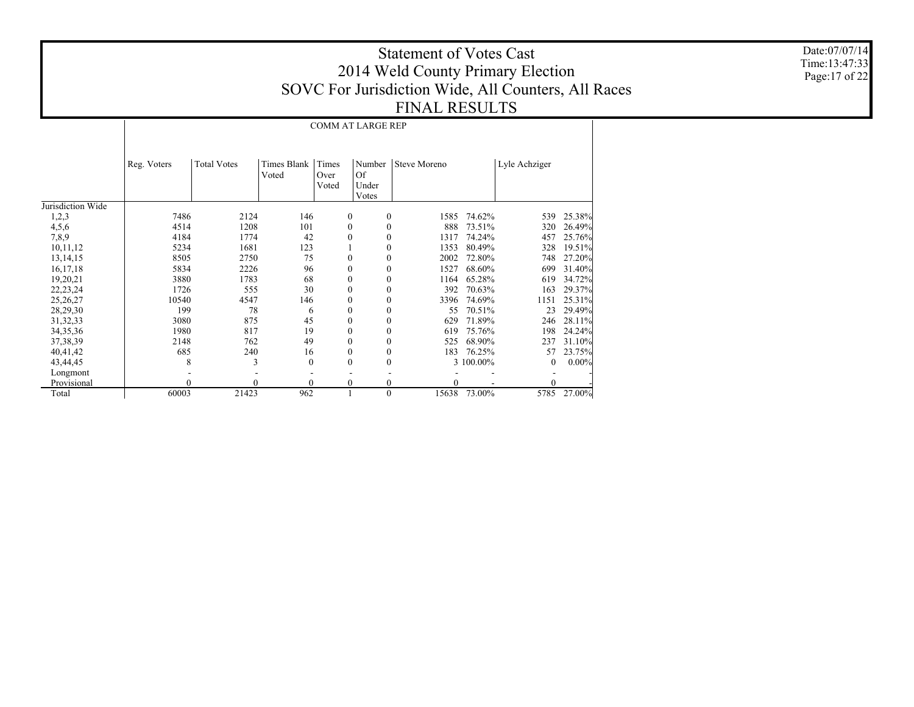Date:07/07/14 Time:13:47:33Page:17 of 22

# Statement of Votes Cast 2014 Weld County Primary Election SOVC For Jurisdiction Wide, All Counters, All Races FINAL RESULTS

Jurisdiction Wide 1,2,3 4,5,6 7,8,9 10,11,12 13,14,15 16,17,18 19,20,21 22,23,24 25,26,27 28,29,30 31,32,33 34,35,36 37,38,39 40,41,42 43,44,45 Longmont Provisional Total Reg. Voters | Total Votes | Times Blank | Times VotedOver VotedNumber Steve MorenoOf Under Votes Lyle Achziger COMM AT LARGE REP 7486 2124 146 0 0 1585 74.62% 539 25.38% 45141208 101 0 0 888 73.51% 320 26.49% 4184 1774 42 0 0 1317 74.24% 457 25.76% 52341681 123 1 0 1353 80.49% 328 19.51% 85052750 75 0 0 2002 72.80%<br>2226 96 0 0 1527 68.60% 748 27.20% 5834 2226 96 0 0 1527 68.60% $699$  31.40% 3880 1783 68 0 0 1164 65.28% 619 34.72% 1726 555 30 0 0 392 70.63% 163 29.37% 105404547 146 0 0 3396 74.69% 1151 25.31%<br>23 29.49% 199 78 6 0 0 55 70.51% 23 29.49% 3080 875 45 0 0 629 71.89% 246 28.11% 1980 817 19 0 0 619 75.76% 198 24.24% 2148 762 49 0 0 525 68.90% 237 31.10% 685 240 16 0 0 183 76.25% 57 23.75% 83 0 0 0 3 100.00%  $0.00\%$  - - - - - - - - 0 0 0 0 0 0 - 0 - 6000321423 962 1 0 15638 73.00% 5785 27.00%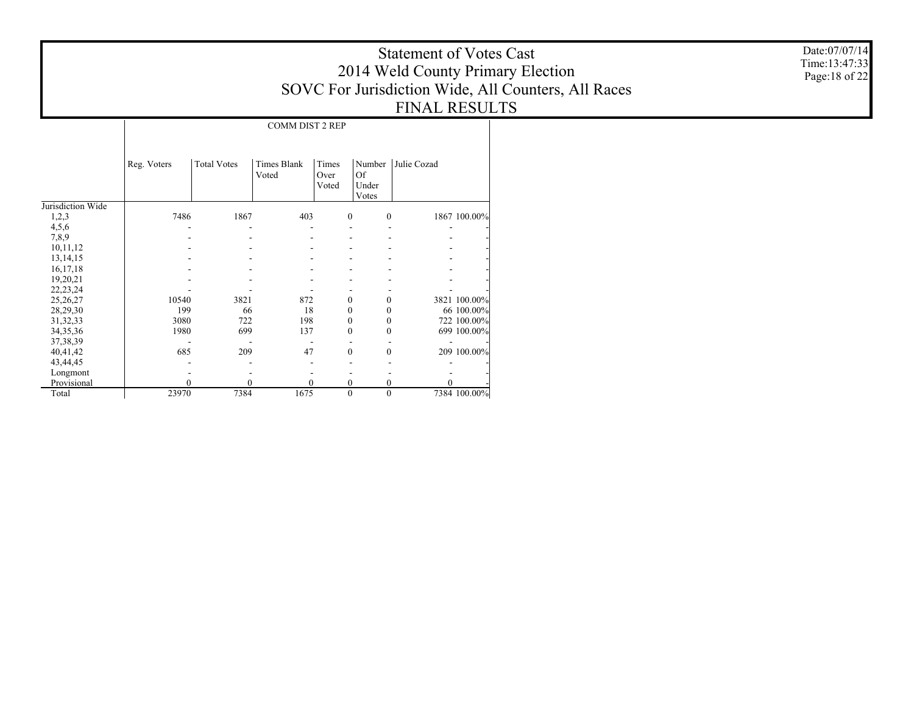COMM DIST 2 REP

|                   | Reg. Voters | <b>Total Votes</b> | Times Blank | Times        | Number       | Julie Cozad |              |
|-------------------|-------------|--------------------|-------------|--------------|--------------|-------------|--------------|
|                   |             |                    | Voted       | Over         | Of           |             |              |
|                   |             |                    |             | Voted        | Under        |             |              |
|                   |             |                    |             |              | Votes        |             |              |
| Jurisdiction Wide |             |                    |             |              |              |             |              |
| 1,2,3             | 7486        | 1867               | 403         | $\mathbf{0}$ | $\mathbf{0}$ |             | 1867 100.00% |
| 4,5,6             |             |                    |             |              |              |             |              |
| 7,8,9             |             |                    |             |              |              |             |              |
| 10,11,12          |             |                    |             |              |              |             |              |
| 13, 14, 15        |             |                    |             |              |              |             |              |
| 16,17,18          |             |                    |             |              |              |             |              |
| 19,20,21          |             |                    |             |              |              |             |              |
| 22, 23, 24        |             |                    |             |              |              |             |              |
| 25,26,27          | 10540       | 3821               | 872         | 0            | 0            |             | 3821 100.00% |
| 28,29,30          | 199         | 66                 | 18          | 0            | 0            |             | 66 100.00%   |
| 31, 32, 33        | 3080        | 722                | 198         | 0            | 0            |             | 722 100.00%  |
| 34, 35, 36        | 1980        | 699                | 137         | $\theta$     | 0            |             | 699 100.00%  |
| 37, 38, 39        |             |                    |             |              |              |             |              |
| 40,41,42          | 685         | 209                | 47          | $\theta$     | $\theta$     |             | 209 100.00%  |
| 43,44,45          |             |                    |             |              |              |             |              |
| Longmont          |             |                    |             |              |              |             |              |
| Provisional       | 0           | $\theta$           | $\theta$    | 0            | 0            |             |              |
| Total             | 23970       | 7384               | 1675        | $\mathbf{0}$ | $\mathbf{0}$ |             | 7384 100.00% |

Date:07/07/14 Time:13:47:33 Page:18 of 22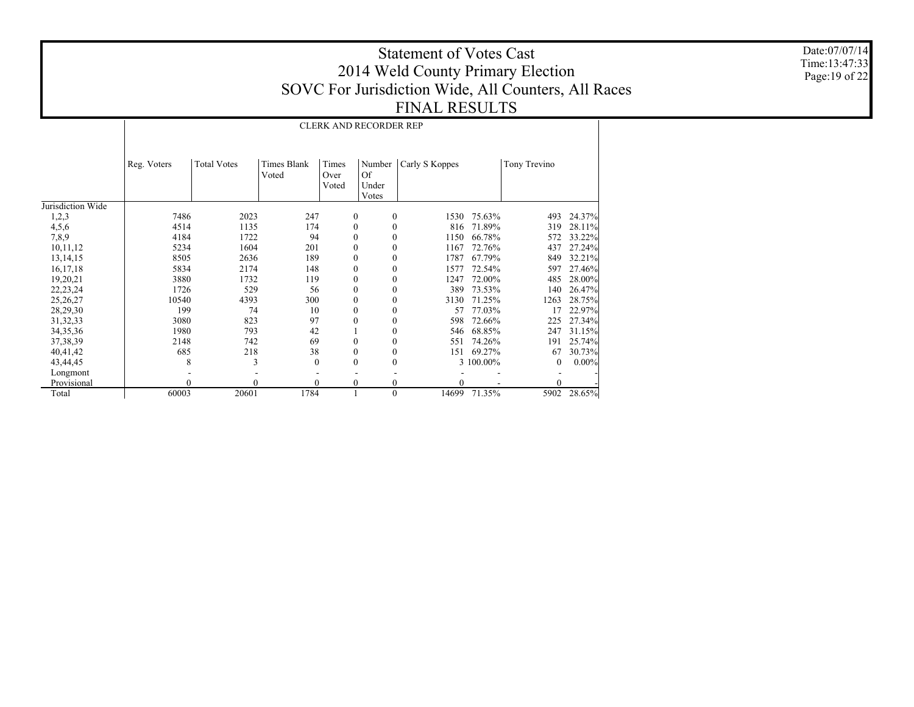Date:07/07/14 Time:13:47:33Page:19 of 22

# Statement of Votes Cast 2014 Weld County Primary Election SOVC For Jurisdiction Wide, All Counters, All Races FINAL RESULTS

Jurisdiction Wide 1,2,3 4,5,6 7,8,9 10,11,12 13,14,15 16,17,18 19,20,21 22,23,24 25,26,27 28,29,30 31,32,33 34,35,36 37,38,39 40,41,42 43,44,45 Longmont Provisional Total Reg. Voters | Total Votes | Times Blank VotedTimes Over VotedNumber | Carly S Koppes | Tony Trevino Of Under Votes CLERK AND RECORDER REP 7486 2023 247 0 0 1530 75.63% 493 24.37% 4514 1135 174 0 0 816 71.89% 319 28.11% 4184 1722 94 0 0 1150 66.78% 572 33.22% 52341604 201 0 0 1167 72.76% 437 27.24% 8505 2636 189 0 0 1787 67.79% 849 32.21% 5834 2174 148 0 0 1577 72.54% 597 27.46% 3880 1732 119 0 0 1247 72.00% 485 28.00% 1726 529 56 0 0 389 73.53% 140 26.47% 105404393 300 0 0 3130 71.25% 1263 28.75%<br>17 22.97% 199 74 10 0 0 57 77.03%22.97% 3080823 97 0 0 598 72.66% 225 27.34% 1980 793 42 1 0 546 68.85% 247 31.15% 2148 742 69 0 0 551 74.26% 191 25.74% 685 218 38 0 0 151 69.27% 67 30.73% 83 0 0 0 3 100.00% 0 0.00% - - - - - - - - 0 0 0 0 0 0 - 0 - 6000320601 1784 1 0 14699 71.35% 5902 28.65%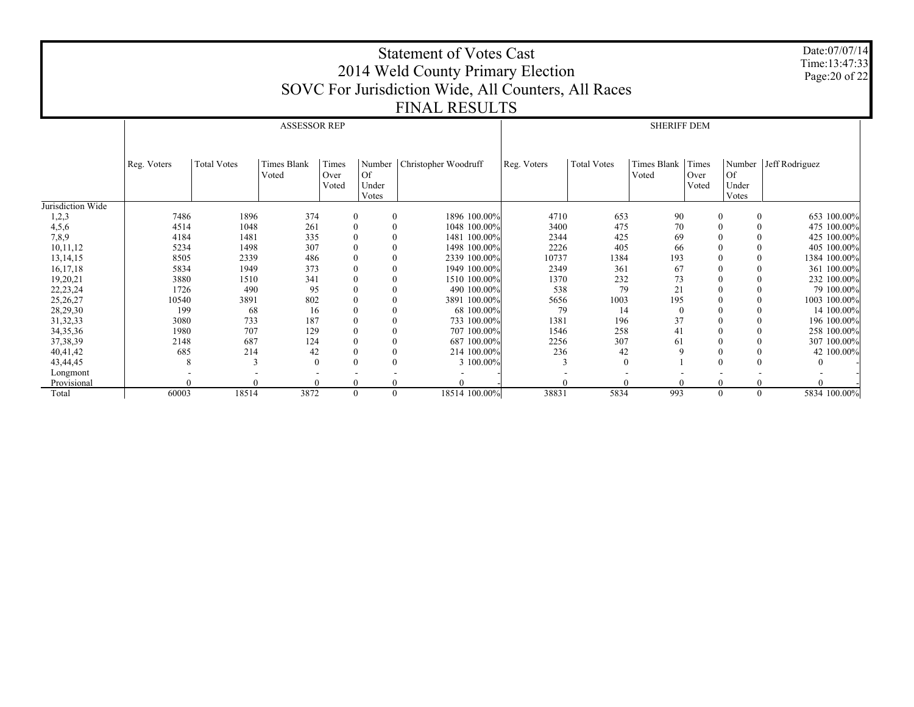|                   |             |                    |                             |                        |                              | <b>Statement of Votes Cast</b><br>2014 Weld County Primary Election<br>SOVC For Jurisdiction Wide, All Counters, All Races |             |                    |                      |                        |                                | Date:07/07/14<br>Time:13:47:33<br>Page: 20 of 22 |
|-------------------|-------------|--------------------|-----------------------------|------------------------|------------------------------|----------------------------------------------------------------------------------------------------------------------------|-------------|--------------------|----------------------|------------------------|--------------------------------|--------------------------------------------------|
|                   |             |                    |                             |                        |                              |                                                                                                                            |             |                    |                      |                        |                                |                                                  |
|                   |             |                    |                             |                        |                              | <b>FINAL RESULTS</b>                                                                                                       |             |                    |                      |                        |                                |                                                  |
|                   |             |                    | <b>ASSESSOR REP</b>         |                        |                              |                                                                                                                            |             |                    | <b>SHERIFF DEM</b>   |                        |                                |                                                  |
|                   | Reg. Voters | <b>Total Votes</b> | <b>Times Blank</b><br>Voted | Times<br>Over<br>Voted | Number<br><b>Of</b><br>Under | Christopher Woodruff                                                                                                       | Reg. Voters | <b>Total Votes</b> | Times Blank<br>Voted | Times<br>Over<br>Voted | Number  <br><b>Of</b><br>Under | Jeff Rodriguez                                   |
|                   |             |                    |                             |                        | Votes                        |                                                                                                                            |             |                    |                      |                        | Votes                          |                                                  |
| Jurisdiction Wide |             |                    |                             |                        |                              |                                                                                                                            |             |                    |                      |                        |                                |                                                  |
| 1,2,3             | 7486        | 1896               | 374                         | $\mathbf{0}$           |                              | 1896 100,00%                                                                                                               | 4710        | 653                | 90                   |                        | $\Omega$                       | 653 100.00%                                      |
| 4,5,6             | 4514        | 1048               | 261                         | $\boldsymbol{0}$       |                              | 1048 100.00%                                                                                                               | 3400        | 475                | 70                   |                        | $\Omega$                       | 475 100.00%                                      |
| 7,8,9             | 4184        | 1481               | 335                         | $\theta$               | $\theta$                     | 1481 100.00%                                                                                                               | 2344        | 425                | 69                   |                        |                                | 425 100.00%                                      |
| 10,11,12          | 5234        | 1498               | 307                         |                        | $\Omega$                     | 1498 100.00%                                                                                                               | 2226        | 405                | 66                   |                        |                                | 405 100,00%                                      |
| 13, 14, 15        | 8505        | 2339               | 486                         |                        | $\theta$                     | 2339 100,00%                                                                                                               | 10737       | 1384               | 193                  |                        |                                | 1384 100.00%                                     |
| 16,17,18          | 5834        | 1949               | 373                         |                        |                              | 1949 100.00%                                                                                                               | 2349        | 361                | 67                   |                        | $\theta$                       | 361 100.00%                                      |
| 19,20,21          | 3880        | 1510               | 341                         |                        |                              | 1510 100,00%                                                                                                               | 1370        | 232                | 73                   |                        | $\Omega$                       | 232 100.00%                                      |
| 22, 23, 24        | 1726        | 490                | 95                          |                        |                              | 490 100,00%                                                                                                                | 538         | 79                 | 21                   |                        |                                | 79 100,00%                                       |
| 25,26,27          | 10540       | 3891               | 802                         |                        |                              | 3891 100.00%                                                                                                               | 5656        | 1003               | 195                  |                        | $\Omega$                       | 1003 100.00%                                     |
| 28,29,30          | 199         | 68                 | 16                          |                        |                              | 68 100,00%                                                                                                                 | 79          | 14                 |                      |                        |                                | 14 100,00%                                       |
| 31, 32, 33        | 3080        | 733                | 187                         |                        | $\theta$                     | 733 100.00%                                                                                                                | 1381        | 196                | 37                   |                        |                                | 196 100,00%                                      |
| 34, 35, 36        | 1980        | 707                | 129                         |                        |                              | 707 100.00%                                                                                                                | 1546        | 258                | 41                   |                        |                                | 258 100.00%                                      |
| 37, 38, 39        | 2148        | 687                | 124                         |                        |                              | 687 100.00%                                                                                                                | 2256        | 307                | 61                   |                        | $\Omega$                       | 307 100,00%                                      |
| 40,41,42          | 685         | 214                | 42                          |                        | $\Omega$                     | 214 100,00%                                                                                                                | 236         | 42                 |                      |                        | $\Omega$                       | 42 100,00%                                       |
| 43,44,45          | 8           |                    | $\Omega$                    |                        | $\Omega$                     | 3 100.00%                                                                                                                  |             | $\Omega$           |                      |                        | $\Omega$                       |                                                  |
| Longmont          |             |                    |                             |                        |                              |                                                                                                                            |             |                    |                      |                        |                                |                                                  |
| Provisional       |             |                    |                             | $\theta$               |                              |                                                                                                                            |             |                    |                      |                        |                                |                                                  |
| Total             | 60003       | 18514              | 3872                        | $\mathbf{0}$           | $\theta$                     | 18514 100.00%                                                                                                              | 38831       | 5834               | 993                  |                        | $\Omega$<br>$\Omega$           | 5834 100.00%                                     |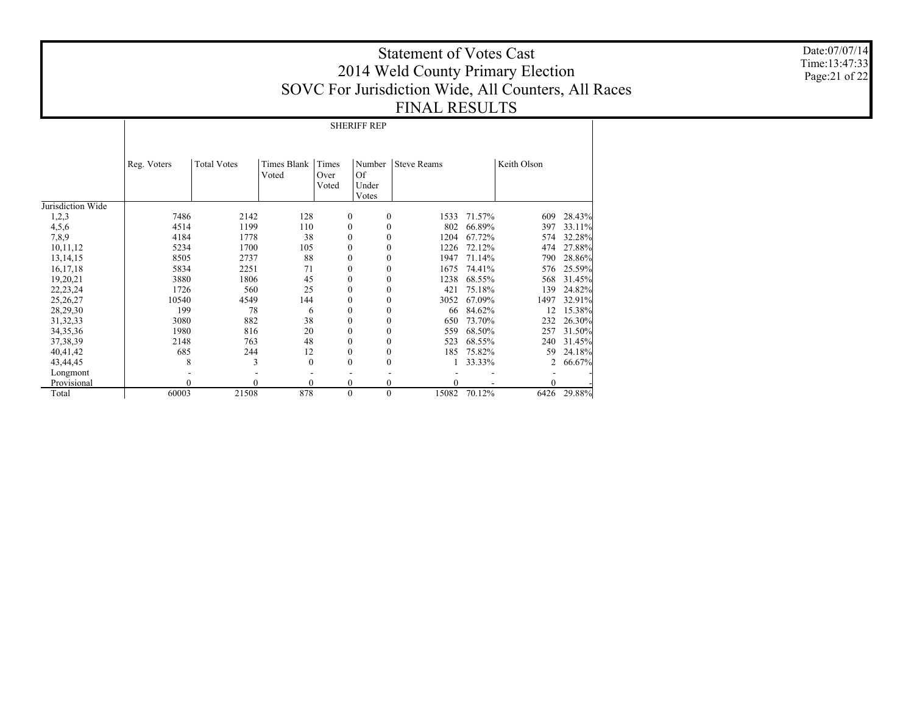Date:07/07/14 Time:13:47:33 Page:21 of 22

# Statement of Votes Cast 2014 Weld County Primary Election SOVC For Jurisdiction Wide, All Counters, All Races FINAL RESULTS

SHERIFF REP

|                   | Reg. Voters | <b>Total Votes</b> | Times Blank<br>Voted | Times<br>Over    | Number<br><sup>Of</sup> | <b>Steve Reams</b> |        | Keith Olson |        |
|-------------------|-------------|--------------------|----------------------|------------------|-------------------------|--------------------|--------|-------------|--------|
|                   |             |                    |                      | Voted            | Under                   |                    |        |             |        |
|                   |             |                    |                      |                  | Votes                   |                    |        |             |        |
| Jurisdiction Wide |             |                    |                      |                  |                         |                    |        |             |        |
| 1,2,3             | 7486        | 2142               | 128                  | $\mathbf{0}$     | $\theta$                | 1533               | 71.57% | 609         | 28.43% |
| 4,5,6             | 4514        | 1199               | 110                  | $\theta$         | $\theta$                | 802                | 66.89% | 397         | 33.11% |
| 7,8,9             | 4184        | 1778               | 38                   | $\theta$         | $\theta$                | 1204               | 67.72% | 574         | 32.28% |
| 10,11,12          | 5234        | 1700               | 105                  |                  | $\theta$                | 1226               | 72.12% | 474         | 27.88% |
| 13, 14, 15        | 8505        | 2737               | 88                   | $\theta$         | $\theta$                | 1947               | 71.14% | 790         | 28.86% |
| 16, 17, 18        | 5834        | 2251               | 71                   |                  | $\mathbf{0}$            | 1675               | 74.41% | 576         | 25.59% |
| 19,20,21          | 3880        | 1806               | 45                   | $\mathbf{0}$     | $\mathbf{0}$            | 1238               | 68.55% | 568         | 31.45% |
| 22, 23, 24        | 1726        | 560                | 25                   | $\mathbf{0}$     | $\mathbf{0}$            | 421                | 75.18% | 139         | 24.82% |
| 25,26,27          | 10540       | 4549               | 144                  | $\boldsymbol{0}$ | $\mathbf{0}$            | 3052               | 67.09% | 1497        | 32.91% |
| 28,29,30          | 199         | 78                 | 6                    | $\mathbf{0}$     | $\mathbf{0}$            | 66                 | 84.62% | 12          | 15.38% |
| 31, 32, 33        | 3080        | 882                | 38                   | $\mathbf{0}$     | $\mathbf{0}$            | 650                | 73.70% | 232         | 26.30% |
| 34, 35, 36        | 1980        | 816                | 20                   | $\mathbf{0}$     | $\theta$                | 559                | 68.50% | 257         | 31.50% |
| 37, 38, 39        | 2148        | 763                | 48                   | $\theta$         | $\theta$                | 523                | 68.55% | 240         | 31.45% |
| 40,41,42          | 685         | 244                | 12                   | $\theta$         | $\mathbf{0}$            | 185                | 75.82% | 59          | 24.18% |
| 43,44,45          | 8           | 3                  | $\mathbf{0}$         | $\theta$         | $\mathbf{0}$            |                    | 33.33% | 2           | 66.67% |
| Longmont          |             |                    |                      |                  |                         |                    |        |             |        |
| Provisional       |             | $\theta$           | $\mathbf{0}$         | $\mathbf{0}$     | $\boldsymbol{0}$        | 0                  |        | $\theta$    |        |
| Total             | 60003       | 21508              | 878                  | $\theta$         | $\mathbf{0}$            | 15082              | 70.12% | 6426        | 29.88% |